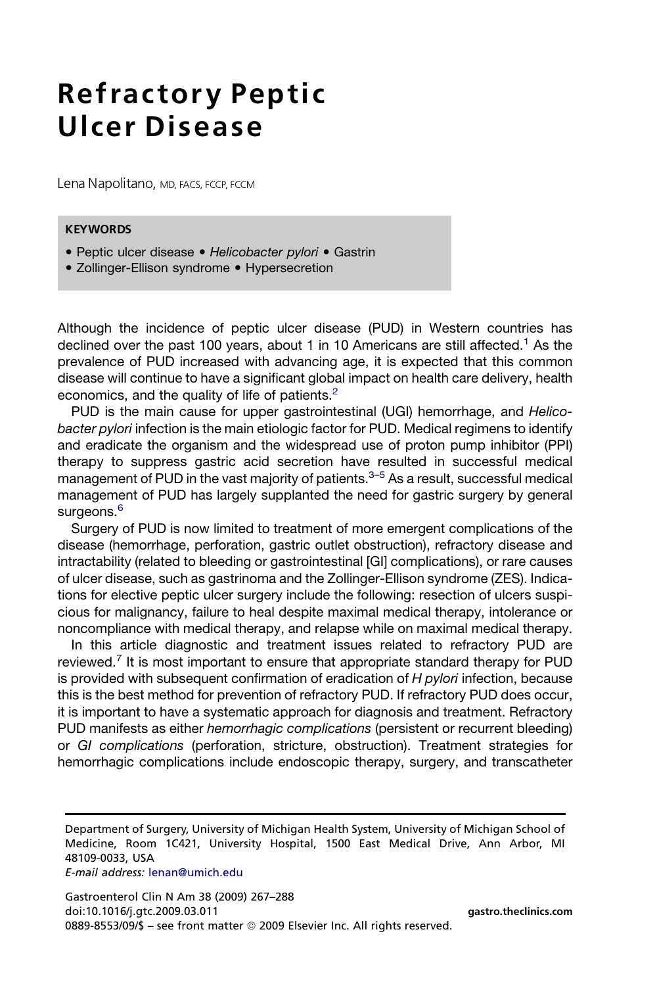# Refractory Peptic Ulcer Disease

Lena Napolitano, MD, FACS, FCCP, FCCM

## **KEYWORDS**

- Peptic ulcer disease Helicobacter pylori Gastrin
- Zollinger-Ellison syndrome Hypersecretion

Although the incidence of peptic ulcer disease (PUD) in Western countries has declined over the past [1](#page-16-0)00 years, about 1 in 10 Americans are still affected.<sup>1</sup> As the prevalence of PUD increased with advancing age, it is expected that this common disease will continue to have a significant global impact on health care delivery, health economics, and the quality of life of patients. $2^2$  $2^2$ 

PUD is the main cause for upper gastrointestinal (UGI) hemorrhage, and *Helicobacter pylori* infection is the main etiologic factor for PUD. Medical regimens to identify and eradicate the organism and the widespread use of proton pump inhibitor (PPI) therapy to suppress gastric acid secretion have resulted in successful medical management of PUD in the vast majority of patients. $3-5$  As a result, successful medical management of PUD has largely supplanted the need for gastric surgery by general surgeons.<sup>[6](#page-16-0)</sup>

Surgery of PUD is now limited to treatment of more emergent complications of the disease (hemorrhage, perforation, gastric outlet obstruction), refractory disease and intractability (related to bleeding or gastrointestinal [GI] complications), or rare causes of ulcer disease, such as gastrinoma and the Zollinger-Ellison syndrome (ZES). Indications for elective peptic ulcer surgery include the following: resection of ulcers suspicious for malignancy, failure to heal despite maximal medical therapy, intolerance or noncompliance with medical therapy, and relapse while on maximal medical therapy.

In this article diagnostic and treatment issues related to refractory PUD are reviewed.<sup>[7](#page-16-0)</sup> It is most important to ensure that appropriate standard therapy for PUD is provided with subsequent confirmation of eradication of *H pylori* infection, because this is the best method for prevention of refractory PUD. If refractory PUD does occur, it is important to have a systematic approach for diagnosis and treatment. Refractory PUD manifests as either *hemorrhagic complications* (persistent or recurrent bleeding) or *GI complications* (perforation, stricture, obstruction). Treatment strategies for hemorrhagic complications include endoscopic therapy, surgery, and transcatheter

E-mail address: [lenan@umich.edu](mailto:lenan@umich.edu)

Gastroenterol Clin N Am 38 (2009) 267–288 doi:10.1016/j.gtc.2009.03.011 [gastro.theclinics.com](http://gastro.theclinics.com) 0889-8553/09/\$ - see front matter © 2009 Elsevier Inc. All rights reserved.

Department of Surgery, University of Michigan Health System, University of Michigan School of Medicine, Room 1C421, University Hospital, 1500 East Medical Drive, Ann Arbor, MI 48109-0033, USA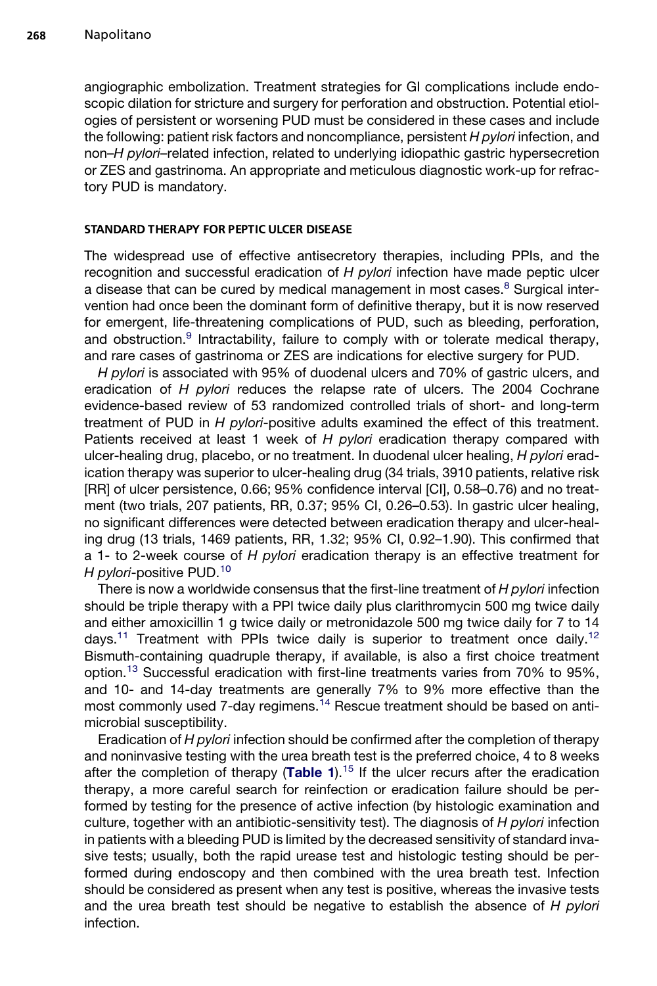angiographic embolization. Treatment strategies for GI complications include endoscopic dilation for stricture and surgery for perforation and obstruction. Potential etiologies of persistent or worsening PUD must be considered in these cases and include the following: patient risk factors and noncompliance, persistent *H pylori* infection, and non–*H pylori*–related infection, related to underlying idiopathic gastric hypersecretion or ZES and gastrinoma. An appropriate and meticulous diagnostic work-up for refractory PUD is mandatory.

## STANDARD THERAPY FOR PEPTIC ULCER DISEASE

The widespread use of effective antisecretory therapies, including PPIs, and the recognition and successful eradication of *H pylori* infection have made peptic ulcer a disease that can be cured by medical management in most cases. $8$  Surgical intervention had once been the dominant form of definitive therapy, but it is now reserved for emergent, life-threatening complications of PUD, such as bleeding, perforation, and obstruction. $9$  Intractability, failure to comply with or tolerate medical therapy, and rare cases of gastrinoma or ZES are indications for elective surgery for PUD.

*H pylori* is associated with 95% of duodenal ulcers and 70% of gastric ulcers, and eradication of *H pylori* reduces the relapse rate of ulcers. The 2004 Cochrane evidence-based review of 53 randomized controlled trials of short- and long-term treatment of PUD in *H pylori*-positive adults examined the effect of this treatment. Patients received at least 1 week of *H pylori* eradication therapy compared with ulcer-healing drug, placebo, or no treatment. In duodenal ulcer healing, *H pylori* eradication therapy was superior to ulcer-healing drug (34 trials, 3910 patients, relative risk [RR] of ulcer persistence, 0.66; 95% confidence interval [CI], 0.58–0.76) and no treatment (two trials, 207 patients, RR, 0.37; 95% CI, 0.26–0.53). In gastric ulcer healing, no significant differences were detected between eradication therapy and ulcer-healing drug (13 trials, 1469 patients, RR, 1.32; 95% CI, 0.92–1.90). This confirmed that a 1- to 2-week course of *H pylori* eradication therapy is an effective treatment for *H pylori*-positive PUD.[10](#page-17-0)

There is now a worldwide consensus that the first-line treatment of *H pylori* infection should be triple therapy with a PPI twice daily plus clarithromycin 500 mg twice daily and either amoxicillin 1 g twice daily or metronidazole 500 mg twice daily for 7 to 14 days.<sup>[11](#page-17-0)</sup> Treatment with PPIs twice daily is superior to treatment once daily.<sup>[12](#page-17-0)</sup> Bismuth-containing quadruple therapy, if available, is also a first choice treatment option.[13](#page-17-0) Successful eradication with first-line treatments varies from 70% to 95%, and 10- and 14-day treatments are generally 7% to 9% more effective than the most commonly used 7-day regimens.<sup>[14](#page-17-0)</sup> Rescue treatment should be based on antimicrobial susceptibility.

Eradication of *H pylori* infection should be confirmed after the completion of therapy and noninvasive testing with the urea breath test is the preferred choice, 4 to 8 weeks after the completion of therapy ([Table 1](#page-2-0)).<sup>[15](#page-17-0)</sup> If the ulcer recurs after the eradication therapy, a more careful search for reinfection or eradication failure should be performed by testing for the presence of active infection (by histologic examination and culture, together with an antibiotic-sensitivity test). The diagnosis of *H pylori* infection in patients with a bleeding PUD is limited by the decreased sensitivity of standard invasive tests; usually, both the rapid urease test and histologic testing should be performed during endoscopy and then combined with the urea breath test. Infection should be considered as present when any test is positive, whereas the invasive tests and the urea breath test should be negative to establish the absence of *H pylori* infection.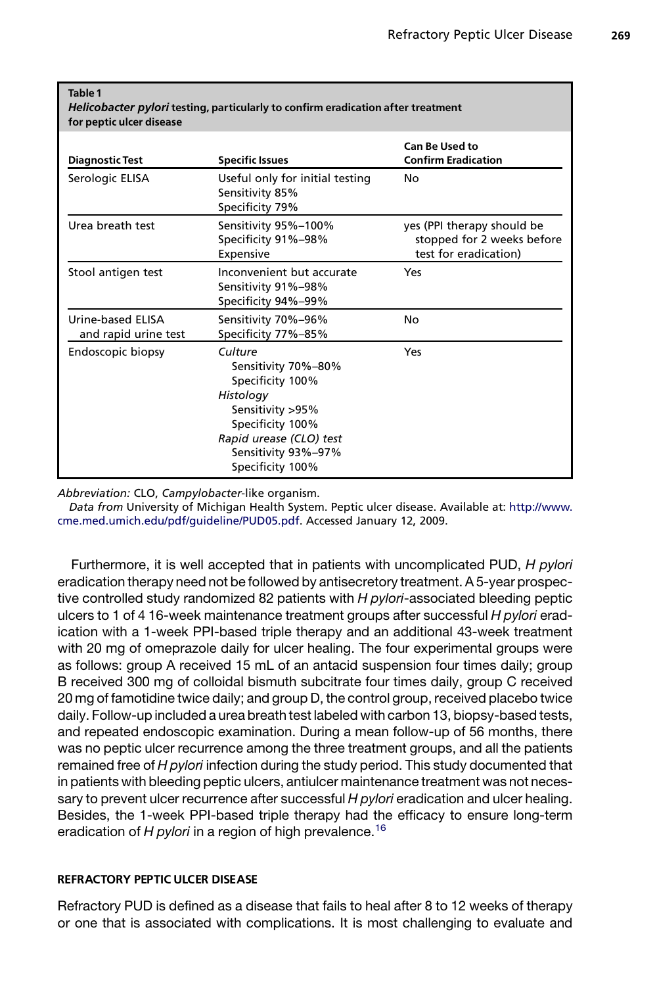<span id="page-2-0"></span>

| Table 1<br>Helicobacter pylori testing, particularly to confirm eradication after treatment<br>for peptic ulcer disease |                                                                                                                                                                                |                                                                                   |
|-------------------------------------------------------------------------------------------------------------------------|--------------------------------------------------------------------------------------------------------------------------------------------------------------------------------|-----------------------------------------------------------------------------------|
| <b>Diagnostic Test</b>                                                                                                  | <b>Specific Issues</b>                                                                                                                                                         | Can Be Used to<br><b>Confirm Eradication</b>                                      |
| Serologic ELISA                                                                                                         | Useful only for initial testing<br>Sensitivity 85%<br>Specificity 79%                                                                                                          | No                                                                                |
| Urea breath test                                                                                                        | Sensitivity 95%-100%<br>Specificity 91%-98%<br>Expensive                                                                                                                       | yes (PPI therapy should be<br>stopped for 2 weeks before<br>test for eradication) |
| Stool antigen test                                                                                                      | Inconvenient but accurate<br>Sensitivity 91%-98%<br>Specificity 94%-99%                                                                                                        | Yes                                                                               |
| Urine-based ELISA<br>and rapid urine test                                                                               | Sensitivity 70%-96%<br>Specificity 77%-85%                                                                                                                                     | No                                                                                |
| Endoscopic biopsy                                                                                                       | Culture<br>Sensitivity 70%-80%<br>Specificity 100%<br>Histology<br>Sensitivity > 95%<br>Specificity 100%<br>Rapid urease (CLO) test<br>Sensitivity 93%-97%<br>Specificity 100% | Yes                                                                               |

Abbreviation: CLO, Campylobacter-like organism.

Data from University of Michigan Health System. Peptic ulcer disease. Available at: [http://www.](http://www.cme.med.umich.edu/pdf/guideline/PUD05.pdf) [cme.med.umich.edu/pdf/guideline/PUD05.pdf.](http://www.cme.med.umich.edu/pdf/guideline/PUD05.pdf) Accessed January 12, 2009.

Furthermore, it is well accepted that in patients with uncomplicated PUD, *H pylori* eradication therapy need not be followed by antisecretory treatment. A 5-year prospective controlled study randomized 82 patients with *H pylori*-associated bleeding peptic ulcers to 1 of 4 16-week maintenance treatment groups after successful *H pylori* eradication with a 1-week PPI-based triple therapy and an additional 43-week treatment with 20 mg of omeprazole daily for ulcer healing. The four experimental groups were as follows: group A received 15 mL of an antacid suspension four times daily; group B received 300 mg of colloidal bismuth subcitrate four times daily, group C received 20 mg of famotidine twice daily; and group D, the control group, received placebo twice daily. Follow-up included a urea breath test labeled with carbon 13, biopsy-based tests, and repeated endoscopic examination. During a mean follow-up of 56 months, there was no peptic ulcer recurrence among the three treatment groups, and all the patients remained free of *H pylori* infection during the study period. This study documented that in patients with bleeding peptic ulcers, antiulcer maintenance treatment was not necessary to prevent ulcer recurrence after successful *H pylori* eradication and ulcer healing. Besides, the 1-week PPI-based triple therapy had the efficacy to ensure long-term eradication of *H pylori* in a region of high prevalence.[16](#page-17-0)

#### REFRACTORY PEPTIC ULCER DISEASE

Refractory PUD is defined as a disease that fails to heal after 8 to 12 weeks of therapy or one that is associated with complications. It is most challenging to evaluate and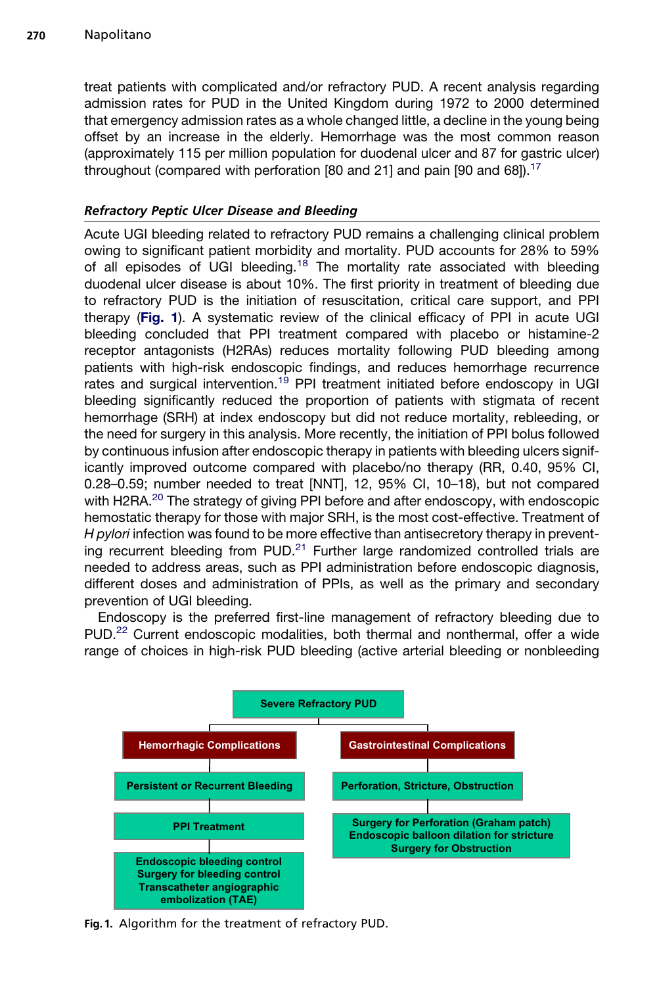<span id="page-3-0"></span>treat patients with complicated and/or refractory PUD. A recent analysis regarding admission rates for PUD in the United Kingdom during 1972 to 2000 determined that emergency admission rates as a whole changed little, a decline in the young being offset by an increase in the elderly. Hemorrhage was the most common reason (approximately 115 per million population for duodenal ulcer and 87 for gastric ulcer) throughout (compared with perforation [80 and 21] and pain [90 and 68]).<sup>[17](#page-17-0)</sup>

## Refractory Peptic Ulcer Disease and Bleeding

Acute UGI bleeding related to refractory PUD remains a challenging clinical problem owing to significant patient morbidity and mortality. PUD accounts for 28% to 59% of all episodes of UGI bleeding.[18](#page-17-0) The mortality rate associated with bleeding duodenal ulcer disease is about 10%. The first priority in treatment of bleeding due to refractory PUD is the initiation of resuscitation, critical care support, and PPI therapy (Fig. 1). A systematic review of the clinical efficacy of PPI in acute UGI bleeding concluded that PPI treatment compared with placebo or histamine-2 receptor antagonists (H2RAs) reduces mortality following PUD bleeding among patients with high-risk endoscopic findings, and reduces hemorrhage recurrence rates and surgical intervention.<sup>[19](#page-17-0)</sup> PPI treatment initiated before endoscopy in UGI bleeding significantly reduced the proportion of patients with stigmata of recent hemorrhage (SRH) at index endoscopy but did not reduce mortality, rebleeding, or the need for surgery in this analysis. More recently, the initiation of PPI bolus followed by continuous infusion after endoscopic therapy in patients with bleeding ulcers significantly improved outcome compared with placebo/no therapy (RR, 0.40, 95% CI, 0.28–0.59; number needed to treat [NNT], 12, 95% CI, 10–18), but not compared with H2RA.<sup>20</sup> The strategy of giving PPI before and after endoscopy, with endoscopic hemostatic therapy for those with major SRH, is the most cost-effective. Treatment of *H pylori* infection was found to be more effective than antisecretory therapy in preventing recurrent bleeding from  $PUD<sup>21</sup>$  $PUD<sup>21</sup>$  $PUD<sup>21</sup>$  Further large randomized controlled trials are needed to address areas, such as PPI administration before endoscopic diagnosis, different doses and administration of PPIs, as well as the primary and secondary prevention of UGI bleeding.

Endoscopy is the preferred first-line management of refractory bleeding due to PUD.<sup>[22](#page-17-0)</sup> Current endoscopic modalities, both thermal and nonthermal, offer a wide range of choices in high-risk PUD bleeding (active arterial bleeding or nonbleeding



Fig. 1. Algorithm for the treatment of refractory PUD.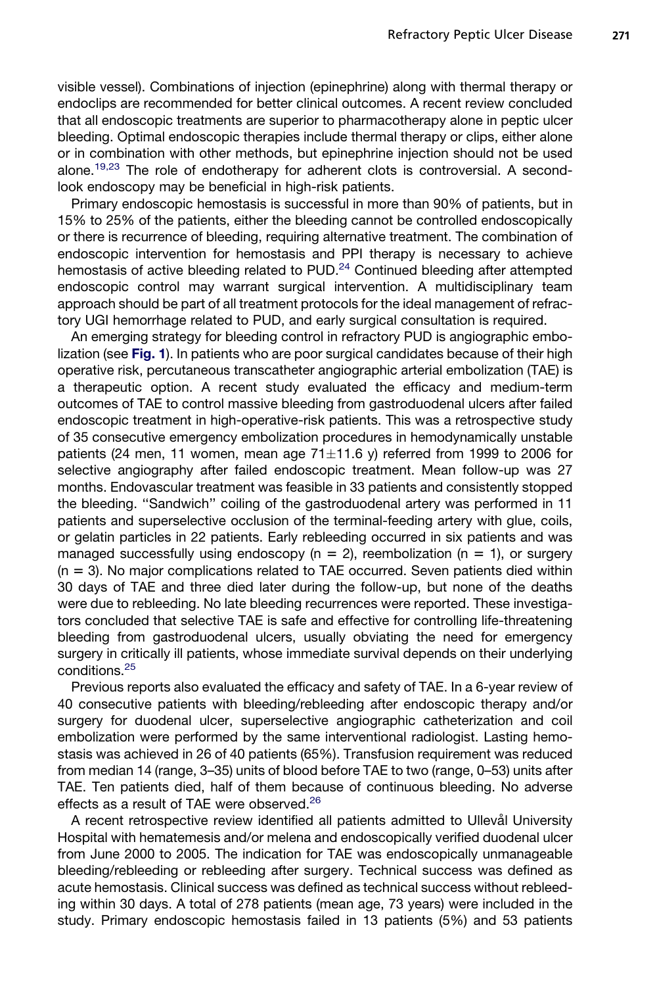visible vessel). Combinations of injection (epinephrine) along with thermal therapy or endoclips are recommended for better clinical outcomes. A recent review concluded that all endoscopic treatments are superior to pharmacotherapy alone in peptic ulcer bleeding. Optimal endoscopic therapies include thermal therapy or clips, either alone or in combination with other methods, but epinephrine injection should not be used alone.<sup>[19,23](#page-17-0)</sup> The role of endotherapy for adherent clots is controversial. A secondlook endoscopy may be beneficial in high-risk patients.

Primary endoscopic hemostasis is successful in more than 90% of patients, but in 15% to 25% of the patients, either the bleeding cannot be controlled endoscopically or there is recurrence of bleeding, requiring alternative treatment. The combination of endoscopic intervention for hemostasis and PPI therapy is necessary to achieve hemostasis of active bleeding related to  $PUD.<sup>24</sup>$  $PUD.<sup>24</sup>$  $PUD.<sup>24</sup>$  Continued bleeding after attempted endoscopic control may warrant surgical intervention. A multidisciplinary team approach should be part of all treatment protocols for the ideal management of refractory UGI hemorrhage related to PUD, and early surgical consultation is required.

An emerging strategy for bleeding control in refractory PUD is angiographic embolization (see [Fig. 1](#page-3-0)). In patients who are poor surgical candidates because of their high operative risk, percutaneous transcatheter angiographic arterial embolization (TAE) is a therapeutic option. A recent study evaluated the efficacy and medium-term outcomes of TAE to control massive bleeding from gastroduodenal ulcers after failed endoscopic treatment in high-operative-risk patients. This was a retrospective study of 35 consecutive emergency embolization procedures in hemodynamically unstable patients (24 men, 11 women, mean age  $71\pm11.6$  y) referred from 1999 to 2006 for selective angiography after failed endoscopic treatment. Mean follow-up was 27 months. Endovascular treatment was feasible in 33 patients and consistently stopped the bleeding. ''Sandwich'' coiling of the gastroduodenal artery was performed in 11 patients and superselective occlusion of the terminal-feeding artery with glue, coils, or gelatin particles in 22 patients. Early rebleeding occurred in six patients and was managed successfully using endoscopy ( $n = 2$ ), reembolization ( $n = 1$ ), or surgery  $(n = 3)$ . No major complications related to TAE occurred. Seven patients died within 30 days of TAE and three died later during the follow-up, but none of the deaths were due to rebleeding. No late bleeding recurrences were reported. These investigators concluded that selective TAE is safe and effective for controlling life-threatening bleeding from gastroduodenal ulcers, usually obviating the need for emergency surgery in critically ill patients, whose immediate survival depends on their underlying conditions.[25](#page-17-0)

Previous reports also evaluated the efficacy and safety of TAE. In a 6-year review of 40 consecutive patients with bleeding/rebleeding after endoscopic therapy and/or surgery for duodenal ulcer, superselective angiographic catheterization and coil embolization were performed by the same interventional radiologist. Lasting hemostasis was achieved in 26 of 40 patients (65%). Transfusion requirement was reduced from median 14 (range, 3–35) units of blood before TAE to two (range, 0–53) units after TAE. Ten patients died, half of them because of continuous bleeding. No adverse effects as a result of TAE were observed.<sup>[26](#page-17-0)</sup>

A recent retrospective review identified all patients admitted to Ulleval University Hospital with hematemesis and/or melena and endoscopically verified duodenal ulcer from June 2000 to 2005. The indication for TAE was endoscopically unmanageable bleeding/rebleeding or rebleeding after surgery. Technical success was defined as acute hemostasis. Clinical success was defined as technical success without rebleeding within 30 days. A total of 278 patients (mean age, 73 years) were included in the study. Primary endoscopic hemostasis failed in 13 patients (5%) and 53 patients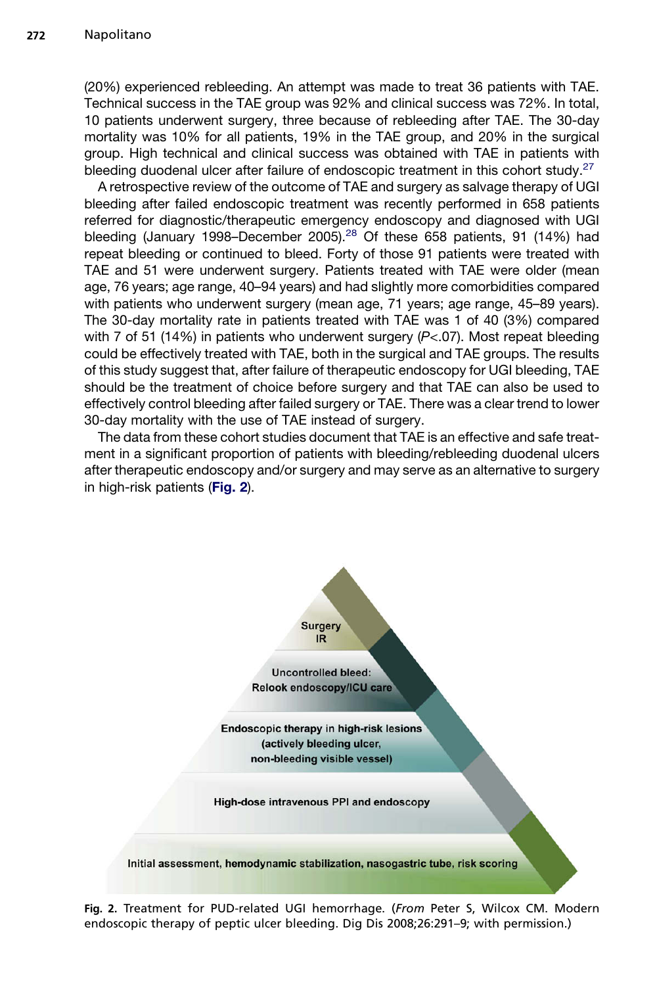(20%) experienced rebleeding. An attempt was made to treat 36 patients with TAE. Technical success in the TAE group was 92% and clinical success was 72%. In total, 10 patients underwent surgery, three because of rebleeding after TAE. The 30-day mortality was 10% for all patients, 19% in the TAE group, and 20% in the surgical group. High technical and clinical success was obtained with TAE in patients with bleeding duodenal ulcer after failure of endoscopic treatment in this cohort study.<sup>[27](#page-18-0)</sup>

A retrospective review of the outcome of TAE and surgery as salvage therapy of UGI bleeding after failed endoscopic treatment was recently performed in 658 patients referred for diagnostic/therapeutic emergency endoscopy and diagnosed with UGI bleeding (January 1998–December 2005).<sup>[28](#page-18-0)</sup> Of these 658 patients, 91 (14%) had repeat bleeding or continued to bleed. Forty of those 91 patients were treated with TAE and 51 were underwent surgery. Patients treated with TAE were older (mean age, 76 years; age range, 40–94 years) and had slightly more comorbidities compared with patients who underwent surgery (mean age, 71 years; age range, 45–89 years). The 30-day mortality rate in patients treated with TAE was 1 of 40 (3%) compared with 7 of 51 (14%) in patients who underwent surgery (*P*<.07). Most repeat bleeding could be effectively treated with TAE, both in the surgical and TAE groups. The results of this study suggest that, after failure of therapeutic endoscopy for UGI bleeding, TAE should be the treatment of choice before surgery and that TAE can also be used to effectively control bleeding after failed surgery or TAE. There was a clear trend to lower 30-day mortality with the use of TAE instead of surgery.

The data from these cohort studies document that TAE is an effective and safe treatment in a significant proportion of patients with bleeding/rebleeding duodenal ulcers after therapeutic endoscopy and/or surgery and may serve as an alternative to surgery in high-risk patients (Fig. 2).



Fig. 2. Treatment for PUD-related UGI hemorrhage. (From Peter S, Wilcox CM. Modern endoscopic therapy of peptic ulcer bleeding. Dig Dis 2008;26:291–9; with permission.)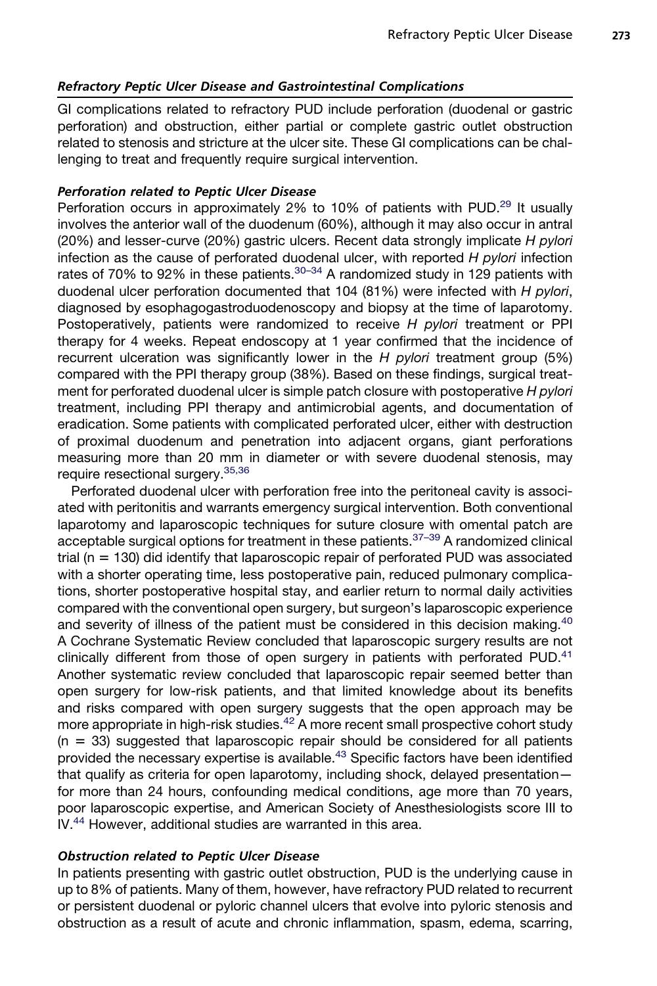## Refractory Peptic Ulcer Disease and Gastrointestinal Complications

GI complications related to refractory PUD include perforation (duodenal or gastric perforation) and obstruction, either partial or complete gastric outlet obstruction related to stenosis and stricture at the ulcer site. These GI complications can be challenging to treat and frequently require surgical intervention.

## Perforation related to Peptic Ulcer Disease

Perforation occurs in approximately 2% to 10% of patients with PUD.<sup>[29](#page-18-0)</sup> It usually involves the anterior wall of the duodenum (60%), although it may also occur in antral (20%) and lesser-curve (20%) gastric ulcers. Recent data strongly implicate *H pylori* infection as the cause of perforated duodenal ulcer, with reported *H pylori* infection rates of 70% to 92% in these patients. $30-34$  A randomized study in 129 patients with duodenal ulcer perforation documented that 104 (81%) were infected with *H pylori*, diagnosed by esophagogastroduodenoscopy and biopsy at the time of laparotomy. Postoperatively, patients were randomized to receive *H pylori* treatment or PPI therapy for 4 weeks. Repeat endoscopy at 1 year confirmed that the incidence of recurrent ulceration was significantly lower in the *H pylori* treatment group (5%) compared with the PPI therapy group (38%). Based on these findings, surgical treatment for perforated duodenal ulcer is simple patch closure with postoperative *H pylori* treatment, including PPI therapy and antimicrobial agents, and documentation of eradication. Some patients with complicated perforated ulcer, either with destruction of proximal duodenum and penetration into adjacent organs, giant perforations measuring more than 20 mm in diameter or with severe duodenal stenosis, may require resectional surgery. [35,36](#page-18-0)

Perforated duodenal ulcer with perforation free into the peritoneal cavity is associated with peritonitis and warrants emergency surgical intervention. Both conventional laparotomy and laparoscopic techniques for suture closure with omental patch are acceptable surgical options for treatment in these patients. $37-39$  A randomized clinical trial  $(n = 130)$  did identify that laparoscopic repair of perforated PUD was associated with a shorter operating time, less postoperative pain, reduced pulmonary complications, shorter postoperative hospital stay, and earlier return to normal daily activities compared with the conventional open surgery, but surgeon's laparoscopic experience and severity of illness of the patient must be considered in this decision making.<sup>[40](#page-18-0)</sup> A Cochrane Systematic Review concluded that laparoscopic surgery results are not clinically different from those of open surgery in patients with perforated PUD.<sup>[41](#page-18-0)</sup> Another systematic review concluded that laparoscopic repair seemed better than open surgery for low-risk patients, and that limited knowledge about its benefits and risks compared with open surgery suggests that the open approach may be more appropriate in high-risk studies. $42$  A more recent small prospective cohort study  $(n = 33)$  suggested that laparoscopic repair should be considered for all patients provided the necessary expertise is available. $43$  Specific factors have been identified that qualify as criteria for open laparotomy, including shock, delayed presentation for more than 24 hours, confounding medical conditions, age more than 70 years, poor laparoscopic expertise, and American Society of Anesthesiologists score III to IV.[44](#page-18-0) However, additional studies are warranted in this area.

#### Obstruction related to Peptic Ulcer Disease

In patients presenting with gastric outlet obstruction, PUD is the underlying cause in up to 8% of patients. Many of them, however, have refractory PUD related to recurrent or persistent duodenal or pyloric channel ulcers that evolve into pyloric stenosis and obstruction as a result of acute and chronic inflammation, spasm, edema, scarring,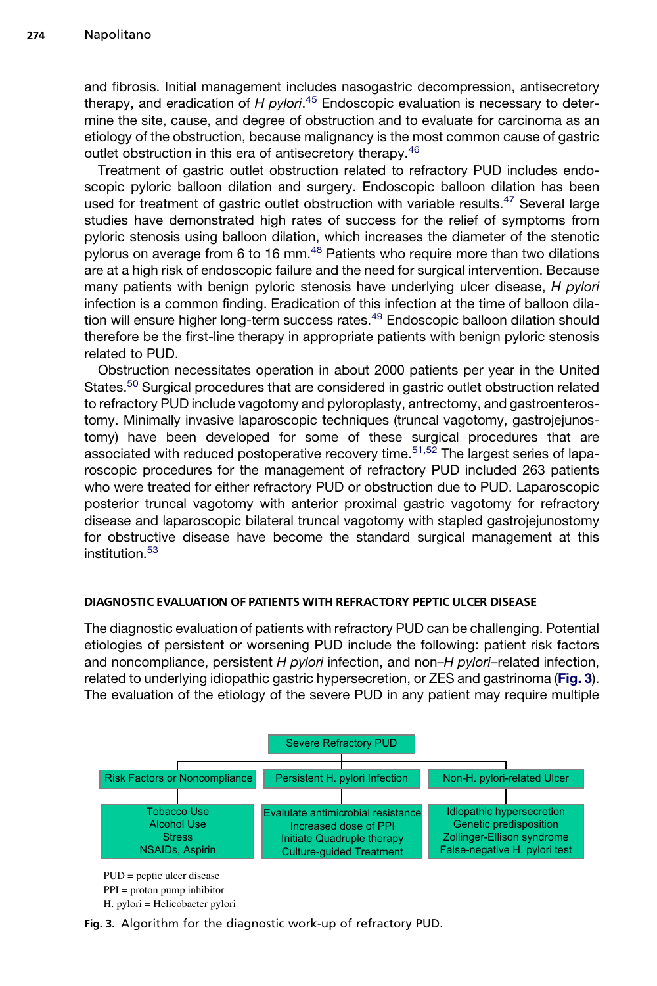and fibrosis. Initial management includes nasogastric decompression, antisecretory therapy, and eradication of *H pylori*. [45](#page-18-0) Endoscopic evaluation is necessary to determine the site, cause, and degree of obstruction and to evaluate for carcinoma as an etiology of the obstruction, because malignancy is the most common cause of gastric outlet obstruction in this era of antisecretory therapy.<sup>[46](#page-19-0)</sup>

Treatment of gastric outlet obstruction related to refractory PUD includes endoscopic pyloric balloon dilation and surgery. Endoscopic balloon dilation has been used for treatment of gastric outlet obstruction with variable results. $47$  Several large studies have demonstrated high rates of success for the relief of symptoms from pyloric stenosis using balloon dilation, which increases the diameter of the stenotic pylorus on average from 6 to 16 mm. $48$  Patients who require more than two dilations are at a high risk of endoscopic failure and the need for surgical intervention. Because many patients with benign pyloric stenosis have underlying ulcer disease, *H pylori* infection is a common finding. Eradication of this infection at the time of balloon dila-tion will ensure higher long-term success rates.<sup>[49](#page-19-0)</sup> Endoscopic balloon dilation should therefore be the first-line therapy in appropriate patients with benign pyloric stenosis related to PUD.

Obstruction necessitates operation in about 2000 patients per year in the United States.<sup>[50](#page-19-0)</sup> Surgical procedures that are considered in gastric outlet obstruction related to refractory PUD include vagotomy and pyloroplasty, antrectomy, and gastroenterostomy. Minimally invasive laparoscopic techniques (truncal vagotomy, gastrojejunostomy) have been developed for some of these surgical procedures that are associated with reduced postoperative recovery time.[51,52](#page-19-0) The largest series of laparoscopic procedures for the management of refractory PUD included 263 patients who were treated for either refractory PUD or obstruction due to PUD. Laparoscopic posterior truncal vagotomy with anterior proximal gastric vagotomy for refractory disease and laparoscopic bilateral truncal vagotomy with stapled gastrojejunostomy for obstructive disease have become the standard surgical management at this  $in$ stitution  $53$ 

#### DIAGNOSTIC EVALUATION OF PATIENTS WITH REFRACTORY PEPTIC ULCER DISEASE

The diagnostic evaluation of patients with refractory PUD can be challenging. Potential etiologies of persistent or worsening PUD include the following: patient risk factors and noncompliance, persistent *H pylori* infection, and non–*H pylori*–related infection, related to underlying idiopathic gastric hypersecretion, or ZES and gastrinoma (Fig. 3). The evaluation of the etiology of the severe PUD in any patient may require multiple



PUD = peptic ulcer disease PPI = proton pump inhibitor H. pylori = Helicobacter pylori

Fig. 3. Algorithm for the diagnostic work-up of refractory PUD.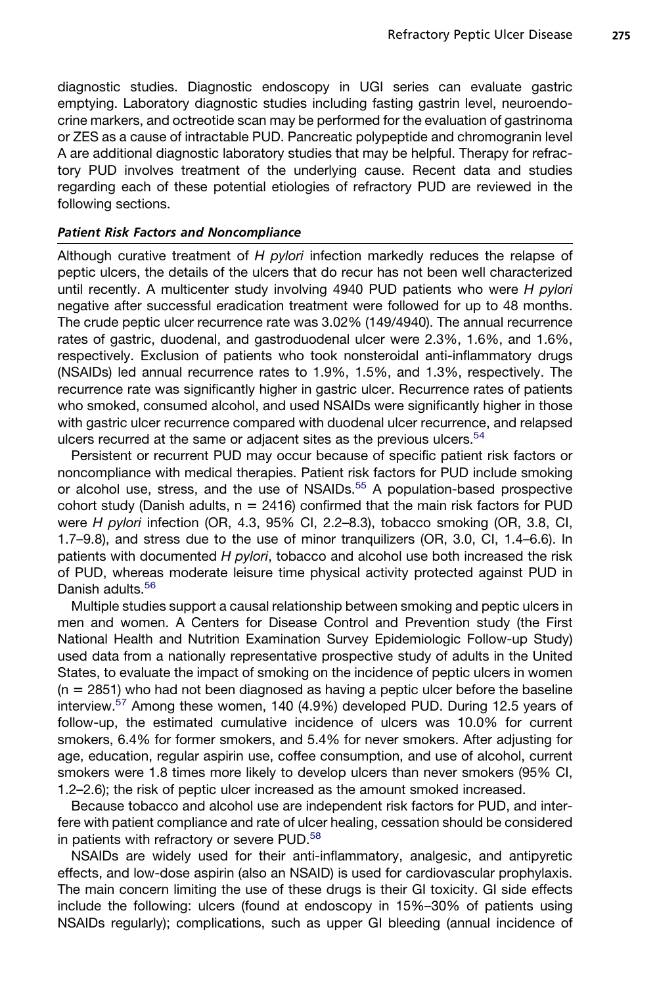diagnostic studies. Diagnostic endoscopy in UGI series can evaluate gastric emptying. Laboratory diagnostic studies including fasting gastrin level, neuroendocrine markers, and octreotide scan may be performed for the evaluation of gastrinoma or ZES as a cause of intractable PUD. Pancreatic polypeptide and chromogranin level A are additional diagnostic laboratory studies that may be helpful. Therapy for refractory PUD involves treatment of the underlying cause. Recent data and studies regarding each of these potential etiologies of refractory PUD are reviewed in the following sections.

#### Patient Risk Factors and Noncompliance

Although curative treatment of *H pylori* infection markedly reduces the relapse of peptic ulcers, the details of the ulcers that do recur has not been well characterized until recently. A multicenter study involving 4940 PUD patients who were *H pylori* negative after successful eradication treatment were followed for up to 48 months. The crude peptic ulcer recurrence rate was 3.02% (149/4940). The annual recurrence rates of gastric, duodenal, and gastroduodenal ulcer were 2.3%, 1.6%, and 1.6%, respectively. Exclusion of patients who took nonsteroidal anti-inflammatory drugs (NSAIDs) led annual recurrence rates to 1.9%, 1.5%, and 1.3%, respectively. The recurrence rate was significantly higher in gastric ulcer. Recurrence rates of patients who smoked, consumed alcohol, and used NSAIDs were significantly higher in those with gastric ulcer recurrence compared with duodenal ulcer recurrence, and relapsed ulcers recurred at the same or adjacent sites as the previous ulcers.<sup>54</sup>

Persistent or recurrent PUD may occur because of specific patient risk factors or noncompliance with medical therapies. Patient risk factors for PUD include smoking or alcohol use, stress, and the use of NSAIDs.<sup>[55](#page-19-0)</sup> A population-based prospective cohort study (Danish adults,  $n = 2416$ ) confirmed that the main risk factors for PUD were *H pylori* infection (OR, 4.3, 95% CI, 2.2–8.3), tobacco smoking (OR, 3.8, CI, 1.7–9.8), and stress due to the use of minor tranquilizers (OR, 3.0, CI, 1.4–6.6). In patients with documented *H pylori*, tobacco and alcohol use both increased the risk of PUD, whereas moderate leisure time physical activity protected against PUD in Danish adults.<sup>[56](#page-19-0)</sup>

Multiple studies support a causal relationship between smoking and peptic ulcers in men and women. A Centers for Disease Control and Prevention study (the First National Health and Nutrition Examination Survey Epidemiologic Follow-up Study) used data from a nationally representative prospective study of adults in the United States, to evaluate the impact of smoking on the incidence of peptic ulcers in women  $(n = 2851)$  who had not been diagnosed as having a peptic ulcer before the baseline interview[.57](#page-19-0) Among these women, 140 (4.9%) developed PUD. During 12.5 years of follow-up, the estimated cumulative incidence of ulcers was 10.0% for current smokers, 6.4% for former smokers, and 5.4% for never smokers. After adjusting for age, education, regular aspirin use, coffee consumption, and use of alcohol, current smokers were 1.8 times more likely to develop ulcers than never smokers (95% CI, 1.2–2.6); the risk of peptic ulcer increased as the amount smoked increased.

Because tobacco and alcohol use are independent risk factors for PUD, and interfere with patient compliance and rate of ulcer healing, cessation should be considered in patients with refractory or severe PUD.<sup>[58](#page-19-0)</sup>

NSAIDs are widely used for their anti-inflammatory, analgesic, and antipyretic effects, and low-dose aspirin (also an NSAID) is used for cardiovascular prophylaxis. The main concern limiting the use of these drugs is their GI toxicity. GI side effects include the following: ulcers (found at endoscopy in 15%–30% of patients using NSAIDs regularly); complications, such as upper GI bleeding (annual incidence of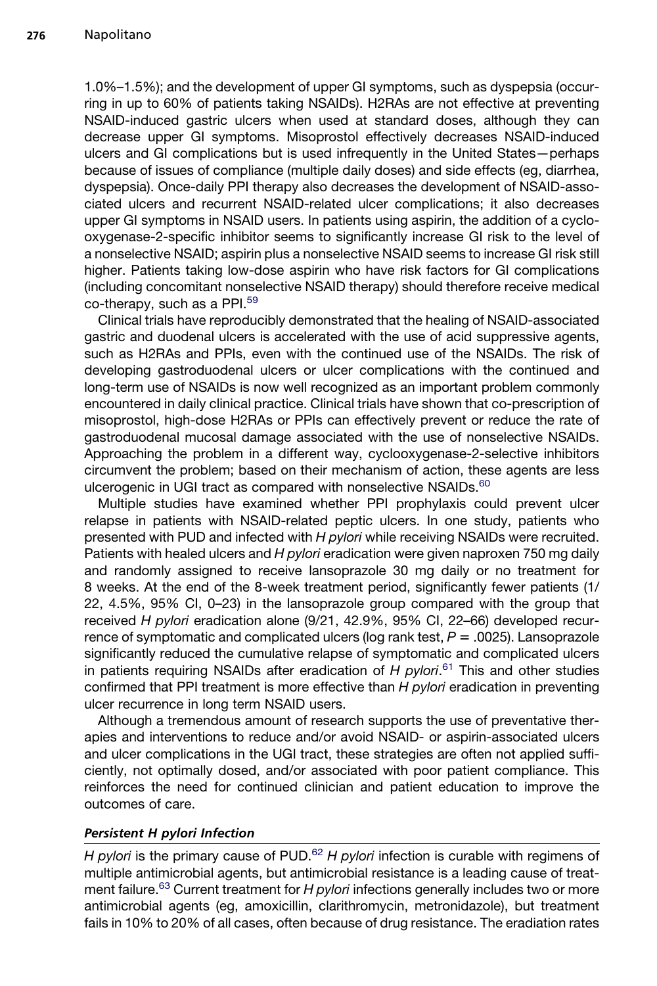1.0%–1.5%); and the development of upper GI symptoms, such as dyspepsia (occurring in up to 60% of patients taking NSAIDs). H2RAs are not effective at preventing NSAID-induced gastric ulcers when used at standard doses, although they can decrease upper GI symptoms. Misoprostol effectively decreases NSAID-induced ulcers and GI complications but is used infrequently in the United States—perhaps because of issues of compliance (multiple daily doses) and side effects (eg, diarrhea, dyspepsia). Once-daily PPI therapy also decreases the development of NSAID-associated ulcers and recurrent NSAID-related ulcer complications; it also decreases upper GI symptoms in NSAID users. In patients using aspirin, the addition of a cyclooxygenase-2-specific inhibitor seems to significantly increase GI risk to the level of a nonselective NSAID; aspirin plus a nonselective NSAID seems to increase GI risk still higher. Patients taking low-dose aspirin who have risk factors for GI complications (including concomitant nonselective NSAID therapy) should therefore receive medical co-therapy, such as a PPI.<sup>[59](#page-19-0)</sup>

Clinical trials have reproducibly demonstrated that the healing of NSAID-associated gastric and duodenal ulcers is accelerated with the use of acid suppressive agents, such as H2RAs and PPIs, even with the continued use of the NSAIDs. The risk of developing gastroduodenal ulcers or ulcer complications with the continued and long-term use of NSAIDs is now well recognized as an important problem commonly encountered in daily clinical practice. Clinical trials have shown that co-prescription of misoprostol, high-dose H2RAs or PPIs can effectively prevent or reduce the rate of gastroduodenal mucosal damage associated with the use of nonselective NSAIDs. Approaching the problem in a different way, cyclooxygenase-2-selective inhibitors circumvent the problem; based on their mechanism of action, these agents are less ulcerogenic in UGI tract as compared with nonselective NSAIDs.<sup>[60](#page-19-0)</sup>

Multiple studies have examined whether PPI prophylaxis could prevent ulcer relapse in patients with NSAID-related peptic ulcers. In one study, patients who presented with PUD and infected with *H pylori* while receiving NSAIDs were recruited. Patients with healed ulcers and *H pylori* eradication were given naproxen 750 mg daily and randomly assigned to receive lansoprazole 30 mg daily or no treatment for 8 weeks. At the end of the 8-week treatment period, significantly fewer patients (1/ 22, 4.5%, 95% CI, 0–23) in the lansoprazole group compared with the group that received *H pylori* eradication alone (9/21, 42.9%, 95% CI, 22–66) developed recurrence of symptomatic and complicated ulcers (log rank test,  $P = .0025$ ). Lansoprazole significantly reduced the cumulative relapse of symptomatic and complicated ulcers in patients requiring NSAIDs after eradication of *H pylori*. [61](#page-19-0) This and other studies confirmed that PPI treatment is more effective than *H pylori* eradication in preventing ulcer recurrence in long term NSAID users.

Although a tremendous amount of research supports the use of preventative therapies and interventions to reduce and/or avoid NSAID- or aspirin-associated ulcers and ulcer complications in the UGI tract, these strategies are often not applied sufficiently, not optimally dosed, and/or associated with poor patient compliance. This reinforces the need for continued clinician and patient education to improve the outcomes of care.

## Persistent H pylori Infection

*H pylori* is the primary cause of PUD.<sup>[62](#page-19-0)</sup> *H pylori* infection is curable with regimens of multiple antimicrobial agents, but antimicrobial resistance is a leading cause of treat-ment failure.<sup>[63](#page-19-0)</sup> Current treatment for *H pylori* infections generally includes two or more antimicrobial agents (eg, amoxicillin, clarithromycin, metronidazole), but treatment fails in 10% to 20% of all cases, often because of drug resistance. The eradiation rates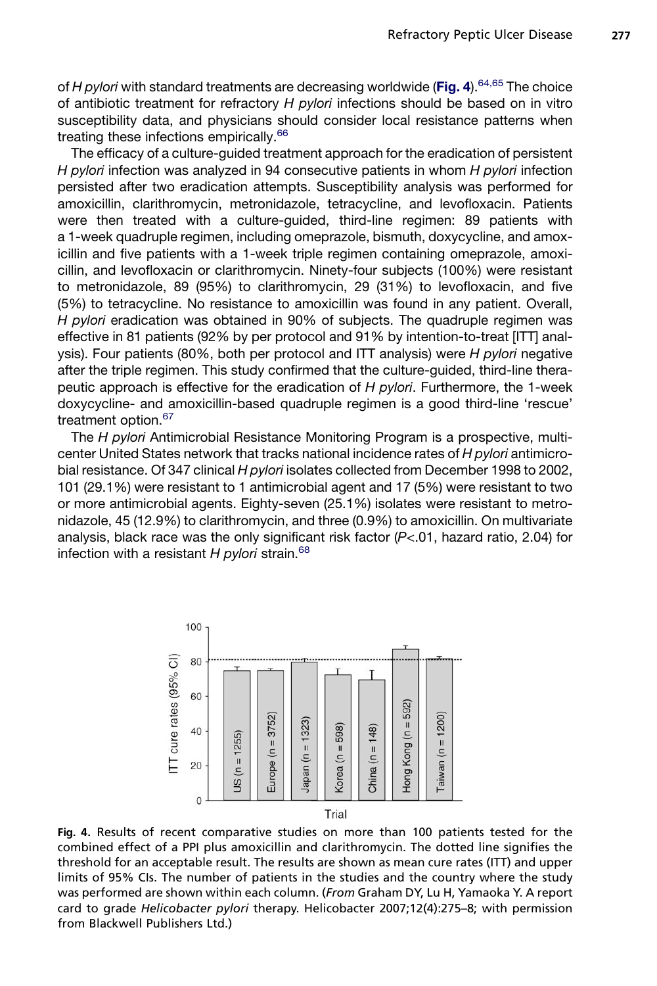of *H pylori* with standard treatments are decreasing worldwide (Fig. 4).<sup>[64,65](#page-19-0)</sup> The choice of antibiotic treatment for refractory *H pylori* infections should be based on in vitro susceptibility data, and physicians should consider local resistance patterns when treating these infections empirically.<sup>[66](#page-20-0)</sup>

The efficacy of a culture-guided treatment approach for the eradication of persistent *H pylori* infection was analyzed in 94 consecutive patients in whom *H pylori* infection persisted after two eradication attempts. Susceptibility analysis was performed for amoxicillin, clarithromycin, metronidazole, tetracycline, and levofloxacin. Patients were then treated with a culture-guided, third-line regimen: 89 patients with a 1-week quadruple regimen, including omeprazole, bismuth, doxycycline, and amoxicillin and five patients with a 1-week triple regimen containing omeprazole, amoxicillin, and levofloxacin or clarithromycin. Ninety-four subjects (100%) were resistant to metronidazole, 89 (95%) to clarithromycin, 29 (31%) to levofloxacin, and five (5%) to tetracycline. No resistance to amoxicillin was found in any patient. Overall, *H pylori* eradication was obtained in 90% of subjects. The quadruple regimen was effective in 81 patients (92% by per protocol and 91% by intention-to-treat [ITT] analysis). Four patients (80%, both per protocol and ITT analysis) were *H pylori* negative after the triple regimen. This study confirmed that the culture-guided, third-line therapeutic approach is effective for the eradication of *H pylori*. Furthermore, the 1-week doxycycline- and amoxicillin-based quadruple regimen is a good third-line 'rescue' treatment option.<sup>[67](#page-20-0)</sup>

The *H pylori* Antimicrobial Resistance Monitoring Program is a prospective, multicenter United States network that tracks national incidence rates of *H pylori* antimicrobial resistance. Of 347 clinical *H pylori* isolates collected from December 1998 to 2002, 101 (29.1%) were resistant to 1 antimicrobial agent and 17 (5%) were resistant to two or more antimicrobial agents. Eighty-seven (25.1%) isolates were resistant to metronidazole, 45 (12.9%) to clarithromycin, and three (0.9%) to amoxicillin. On multivariate analysis, black race was the only significant risk factor (*P*<.01, hazard ratio, 2.04) for infection with a resistant *H pylori* strain.<sup>[68](#page-20-0)</sup>



Fig. 4. Results of recent comparative studies on more than 100 patients tested for the combined effect of a PPI plus amoxicillin and clarithromycin. The dotted line signifies the threshold for an acceptable result. The results are shown as mean cure rates (ITT) and upper limits of 95% CIs. The number of patients in the studies and the country where the study was performed are shown within each column. (From Graham DY, Lu H, Yamaoka Y. A report card to grade Helicobacter pylori therapy. Helicobacter 2007;12(4):275–8; with permission from Blackwell Publishers Ltd.)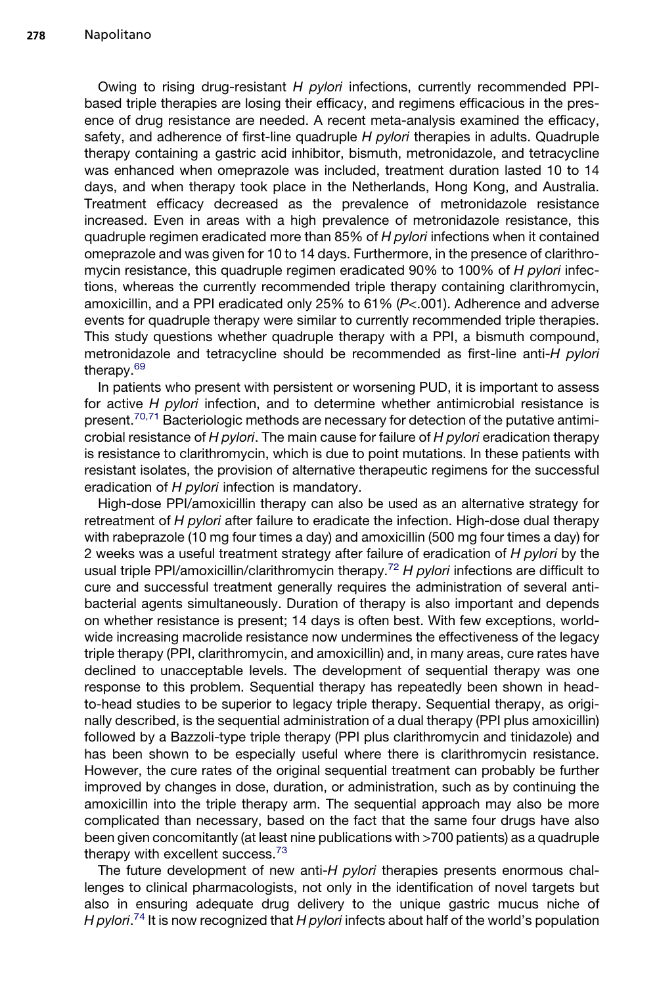Owing to rising drug-resistant *H pylori* infections, currently recommended PPIbased triple therapies are losing their efficacy, and regimens efficacious in the presence of drug resistance are needed. A recent meta-analysis examined the efficacy, safety, and adherence of first-line quadruple *H pylori* therapies in adults. Quadruple therapy containing a gastric acid inhibitor, bismuth, metronidazole, and tetracycline was enhanced when omeprazole was included, treatment duration lasted 10 to 14 days, and when therapy took place in the Netherlands, Hong Kong, and Australia. Treatment efficacy decreased as the prevalence of metronidazole resistance increased. Even in areas with a high prevalence of metronidazole resistance, this quadruple regimen eradicated more than 85% of *H pylori* infections when it contained omeprazole and was given for 10 to 14 days. Furthermore, in the presence of clarithromycin resistance, this quadruple regimen eradicated 90% to 100% of *H pylori* infections, whereas the currently recommended triple therapy containing clarithromycin, amoxicillin, and a PPI eradicated only 25% to 61% (*P*<.001). Adherence and adverse events for quadruple therapy were similar to currently recommended triple therapies. This study questions whether quadruple therapy with a PPI, a bismuth compound, metronidazole and tetracycline should be recommended as first-line anti-*H pylori* therapy.<sup>[69](#page-20-0)</sup>

In patients who present with persistent or worsening PUD, it is important to assess for active *H pylori* infection, and to determine whether antimicrobial resistance is present.<sup>[70,71](#page-20-0)</sup> Bacteriologic methods are necessary for detection of the putative antimicrobial resistance of *H pylori*. The main cause for failure of *H pylori* eradication therapy is resistance to clarithromycin, which is due to point mutations. In these patients with resistant isolates, the provision of alternative therapeutic regimens for the successful eradication of *H pylori* infection is mandatory.

High-dose PPI/amoxicillin therapy can also be used as an alternative strategy for retreatment of *H pylori* after failure to eradicate the infection. High-dose dual therapy with rabeprazole (10 mg four times a day) and amoxicillin (500 mg four times a day) for 2 weeks was a useful treatment strategy after failure of eradication of *H pylori* by the usual triple PPI/amoxicillin/clarithromycin therapy.[72](#page-20-0) *H pylori* infections are difficult to cure and successful treatment generally requires the administration of several antibacterial agents simultaneously. Duration of therapy is also important and depends on whether resistance is present; 14 days is often best. With few exceptions, worldwide increasing macrolide resistance now undermines the effectiveness of the legacy triple therapy (PPI, clarithromycin, and amoxicillin) and, in many areas, cure rates have declined to unacceptable levels. The development of sequential therapy was one response to this problem. Sequential therapy has repeatedly been shown in headto-head studies to be superior to legacy triple therapy. Sequential therapy, as originally described, is the sequential administration of a dual therapy (PPI plus amoxicillin) followed by a Bazzoli-type triple therapy (PPI plus clarithromycin and tinidazole) and has been shown to be especially useful where there is clarithromycin resistance. However, the cure rates of the original sequential treatment can probably be further improved by changes in dose, duration, or administration, such as by continuing the amoxicillin into the triple therapy arm. The sequential approach may also be more complicated than necessary, based on the fact that the same four drugs have also been given concomitantly (at least nine publications with >700 patients) as a quadruple therapy with excellent success.<sup>[73](#page-20-0)</sup>

The future development of new anti-*H pylori* therapies presents enormous challenges to clinical pharmacologists, not only in the identification of novel targets but also in ensuring adequate drug delivery to the unique gastric mucus niche of *H pylori*. [74](#page-20-0) It is now recognized that *H pylori* infects about half of the world's population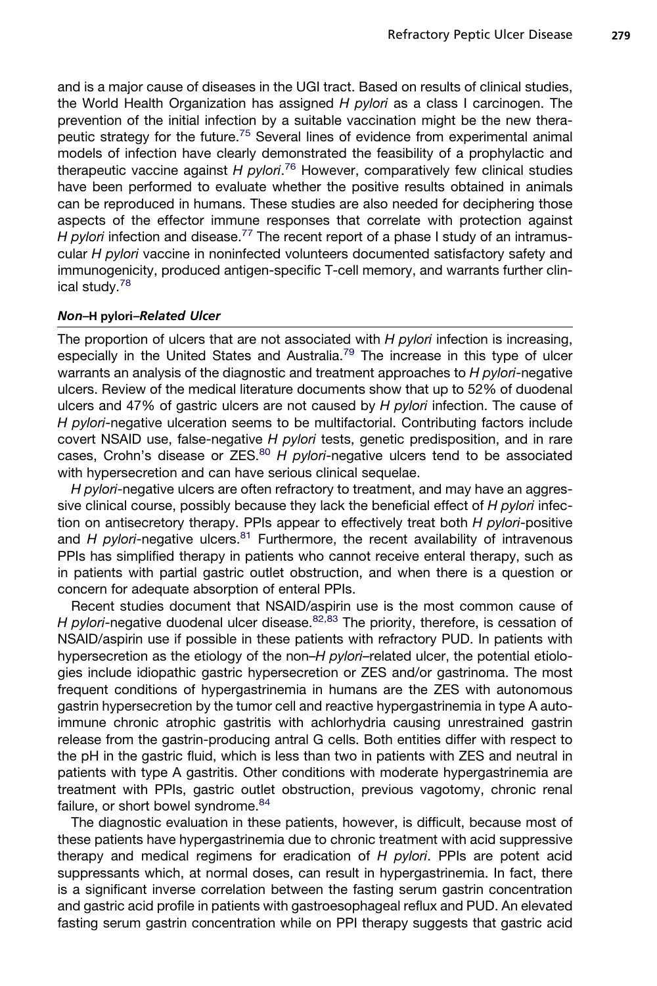and is a major cause of diseases in the UGI tract. Based on results of clinical studies, the World Health Organization has assigned *H pylori* as a class I carcinogen. The prevention of the initial infection by a suitable vaccination might be the new thera-peutic strategy for the future.<sup>[75](#page-20-0)</sup> Several lines of evidence from experimental animal models of infection have clearly demonstrated the feasibility of a prophylactic and therapeutic vaccine against *H pylori*. [76](#page-20-0) However, comparatively few clinical studies have been performed to evaluate whether the positive results obtained in animals can be reproduced in humans. These studies are also needed for deciphering those aspects of the effector immune responses that correlate with protection against *H pylori* infection and disease.<sup>[77](#page-20-0)</sup> The recent report of a phase I study of an intramuscular *H pylori* vaccine in noninfected volunteers documented satisfactory safety and immunogenicity, produced antigen-specific T-cell memory, and warrants further clinical study.[78](#page-20-0)

#### Non–H pylori–Related Ulcer

The proportion of ulcers that are not associated with *H pylori* infection is increasing, especially in the United States and Australia.<sup>[79](#page-20-0)</sup> The increase in this type of ulcer warrants an analysis of the diagnostic and treatment approaches to *H pylori*-negative ulcers. Review of the medical literature documents show that up to 52% of duodenal ulcers and 47% of gastric ulcers are not caused by *H pylori* infection. The cause of *H pylori*-negative ulceration seems to be multifactorial. Contributing factors include covert NSAID use, false-negative *H pylori* tests, genetic predisposition, and in rare cases, Crohn's disease or ZES.[80](#page-20-0) *H pylori*-negative ulcers tend to be associated with hypersecretion and can have serious clinical sequelae.

*H pylori*-negative ulcers are often refractory to treatment, and may have an aggressive clinical course, possibly because they lack the beneficial effect of *H pylori* infection on antisecretory therapy. PPIs appear to effectively treat both *H pylori*-positive and *H pylori*-negative ulcers. $81$  Furthermore, the recent availability of intravenous PPIs has simplified therapy in patients who cannot receive enteral therapy, such as in patients with partial gastric outlet obstruction, and when there is a question or concern for adequate absorption of enteral PPIs.

Recent studies document that NSAID/aspirin use is the most common cause of H *pylori*-negative duodenal ulcer disease.<sup>[82,83](#page-20-0)</sup> The priority, therefore, is cessation of NSAID/aspirin use if possible in these patients with refractory PUD. In patients with hypersecretion as the etiology of the non–*H pylori*–related ulcer, the potential etiologies include idiopathic gastric hypersecretion or ZES and/or gastrinoma. The most frequent conditions of hypergastrinemia in humans are the ZES with autonomous gastrin hypersecretion by the tumor cell and reactive hypergastrinemia in type A autoimmune chronic atrophic gastritis with achlorhydria causing unrestrained gastrin release from the gastrin-producing antral G cells. Both entities differ with respect to the pH in the gastric fluid, which is less than two in patients with ZES and neutral in patients with type A gastritis. Other conditions with moderate hypergastrinemia are treatment with PPIs, gastric outlet obstruction, previous vagotomy, chronic renal failure, or short bowel syndrome.<sup>[84](#page-20-0)</sup>

The diagnostic evaluation in these patients, however, is difficult, because most of these patients have hypergastrinemia due to chronic treatment with acid suppressive therapy and medical regimens for eradication of *H pylori*. PPIs are potent acid suppressants which, at normal doses, can result in hypergastrinemia. In fact, there is a significant inverse correlation between the fasting serum gastrin concentration and gastric acid profile in patients with gastroesophageal reflux and PUD. An elevated fasting serum gastrin concentration while on PPI therapy suggests that gastric acid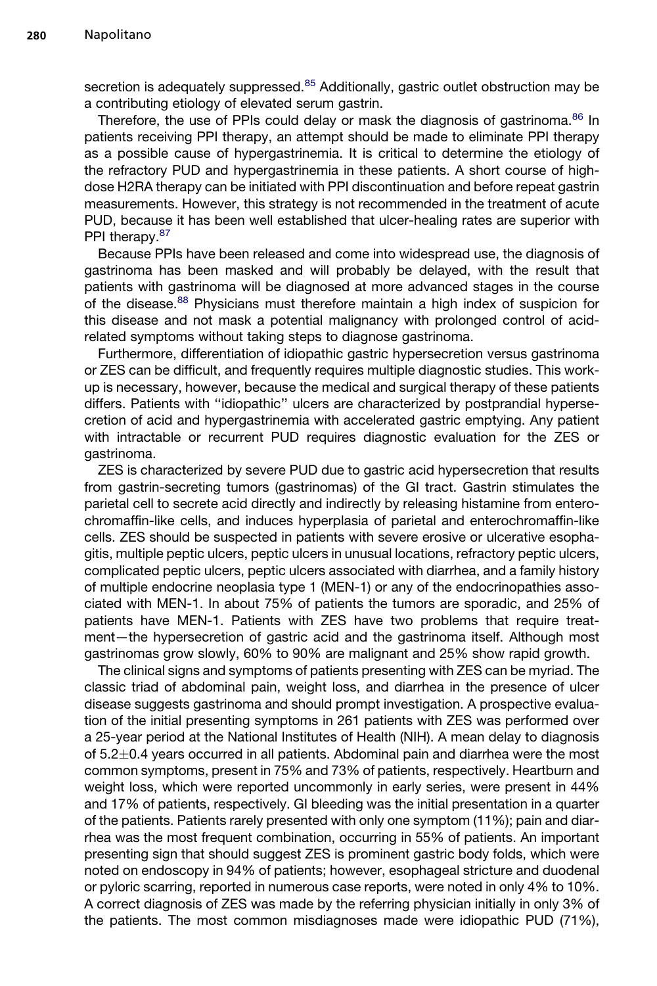secretion is adequately suppressed.<sup>[85](#page-21-0)</sup> Additionally, gastric outlet obstruction may be a contributing etiology of elevated serum gastrin.

Therefore, the use of PPIs could delay or mask the diagnosis of gastrinoma.<sup>[86](#page-21-0)</sup> In patients receiving PPI therapy, an attempt should be made to eliminate PPI therapy as a possible cause of hypergastrinemia. It is critical to determine the etiology of the refractory PUD and hypergastrinemia in these patients. A short course of highdose H2RA therapy can be initiated with PPI discontinuation and before repeat gastrin measurements. However, this strategy is not recommended in the treatment of acute PUD, because it has been well established that ulcer-healing rates are superior with PPI therapy.<sup>[87](#page-21-0)</sup>

Because PPIs have been released and come into widespread use, the diagnosis of gastrinoma has been masked and will probably be delayed, with the result that patients with gastrinoma will be diagnosed at more advanced stages in the course of the disease.<sup>[88](#page-21-0)</sup> Physicians must therefore maintain a high index of suspicion for this disease and not mask a potential malignancy with prolonged control of acidrelated symptoms without taking steps to diagnose gastrinoma.

Furthermore, differentiation of idiopathic gastric hypersecretion versus gastrinoma or ZES can be difficult, and frequently requires multiple diagnostic studies. This workup is necessary, however, because the medical and surgical therapy of these patients differs. Patients with ''idiopathic'' ulcers are characterized by postprandial hypersecretion of acid and hypergastrinemia with accelerated gastric emptying. Any patient with intractable or recurrent PUD requires diagnostic evaluation for the ZES or gastrinoma.

ZES is characterized by severe PUD due to gastric acid hypersecretion that results from gastrin-secreting tumors (gastrinomas) of the GI tract. Gastrin stimulates the parietal cell to secrete acid directly and indirectly by releasing histamine from enterochromaffin-like cells, and induces hyperplasia of parietal and enterochromaffin-like cells. ZES should be suspected in patients with severe erosive or ulcerative esophagitis, multiple peptic ulcers, peptic ulcers in unusual locations, refractory peptic ulcers, complicated peptic ulcers, peptic ulcers associated with diarrhea, and a family history of multiple endocrine neoplasia type 1 (MEN-1) or any of the endocrinopathies associated with MEN-1. In about 75% of patients the tumors are sporadic, and 25% of patients have MEN-1. Patients with ZES have two problems that require treatment—the hypersecretion of gastric acid and the gastrinoma itself. Although most gastrinomas grow slowly, 60% to 90% are malignant and 25% show rapid growth.

The clinical signs and symptoms of patients presenting with ZES can be myriad. The classic triad of abdominal pain, weight loss, and diarrhea in the presence of ulcer disease suggests gastrinoma and should prompt investigation. A prospective evaluation of the initial presenting symptoms in 261 patients with ZES was performed over a 25-year period at the National Institutes of Health (NIH). A mean delay to diagnosis of  $5.2\pm0.4$  years occurred in all patients. Abdominal pain and diarrhea were the most common symptoms, present in 75% and 73% of patients, respectively. Heartburn and weight loss, which were reported uncommonly in early series, were present in 44% and 17% of patients, respectively. GI bleeding was the initial presentation in a quarter of the patients. Patients rarely presented with only one symptom (11%); pain and diarrhea was the most frequent combination, occurring in 55% of patients. An important presenting sign that should suggest ZES is prominent gastric body folds, which were noted on endoscopy in 94% of patients; however, esophageal stricture and duodenal or pyloric scarring, reported in numerous case reports, were noted in only 4% to 10%. A correct diagnosis of ZES was made by the referring physician initially in only 3% of the patients. The most common misdiagnoses made were idiopathic PUD (71%),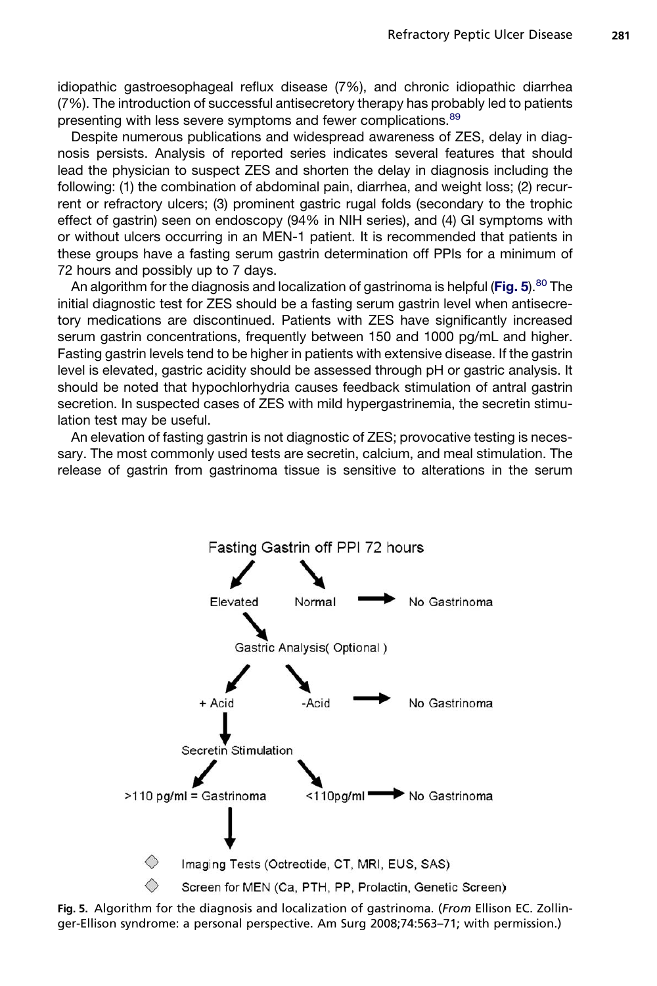idiopathic gastroesophageal reflux disease (7%), and chronic idiopathic diarrhea (7%). The introduction of successful antisecretory therapy has probably led to patients presenting with less severe symptoms and fewer complications.<sup>[89](#page-21-0)</sup>

Despite numerous publications and widespread awareness of ZES, delay in diagnosis persists. Analysis of reported series indicates several features that should lead the physician to suspect ZES and shorten the delay in diagnosis including the following: (1) the combination of abdominal pain, diarrhea, and weight loss; (2) recurrent or refractory ulcers; (3) prominent gastric rugal folds (secondary to the trophic effect of gastrin) seen on endoscopy (94% in NIH series), and (4) GI symptoms with or without ulcers occurring in an MEN-1 patient. It is recommended that patients in these groups have a fasting serum gastrin determination off PPIs for a minimum of 72 hours and possibly up to 7 days.

An algorithm for the diagnosis and localization of gastrinoma is helpful (Fig. 5).<sup>[80](#page-20-0)</sup> The initial diagnostic test for ZES should be a fasting serum gastrin level when antisecretory medications are discontinued. Patients with ZES have significantly increased serum gastrin concentrations, frequently between 150 and 1000 pg/mL and higher. Fasting gastrin levels tend to be higher in patients with extensive disease. If the gastrin level is elevated, gastric acidity should be assessed through pH or gastric analysis. It should be noted that hypochlorhydria causes feedback stimulation of antral gastrin secretion. In suspected cases of ZES with mild hypergastrinemia, the secretin stimulation test may be useful.

An elevation of fasting gastrin is not diagnostic of ZES; provocative testing is necessary. The most commonly used tests are secretin, calcium, and meal stimulation. The release of gastrin from gastrinoma tissue is sensitive to alterations in the serum



Fig. 5. Algorithm for the diagnosis and localization of gastrinoma. (From Ellison EC. Zollinger-Ellison syndrome: a personal perspective. Am Surg 2008;74:563–71; with permission.)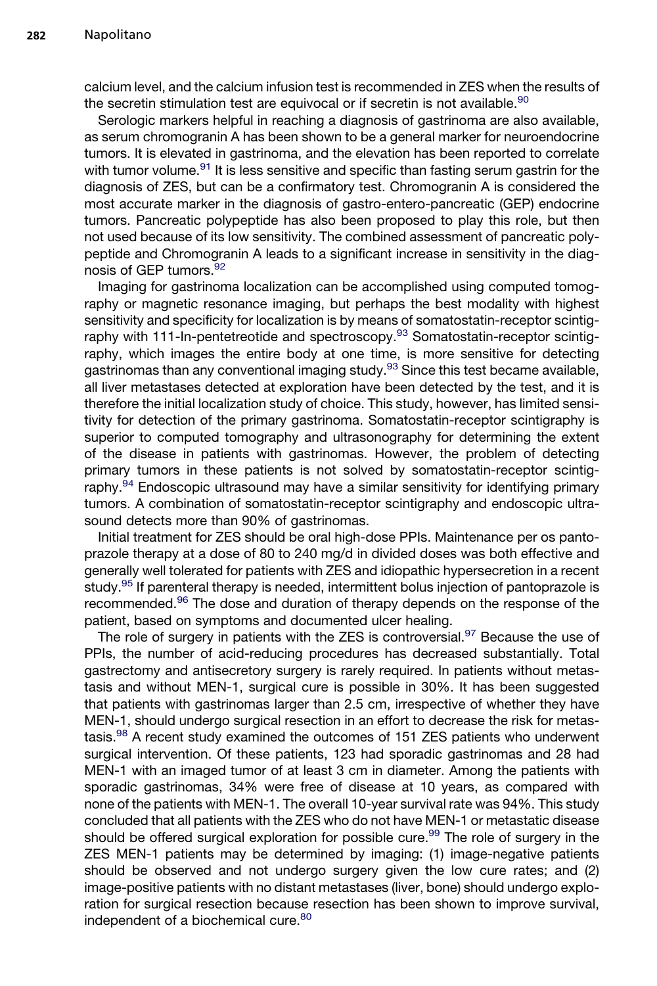calcium level, and the calcium infusion test is recommended in ZES when the results of the secretin stimulation test are equivocal or if secretin is not available.<sup>[90](#page-21-0)</sup>

Serologic markers helpful in reaching a diagnosis of gastrinoma are also available, as serum chromogranin A has been shown to be a general marker for neuroendocrine tumors. It is elevated in gastrinoma, and the elevation has been reported to correlate with tumor volume. $91$  It is less sensitive and specific than fasting serum gastrin for the diagnosis of ZES, but can be a confirmatory test. Chromogranin A is considered the most accurate marker in the diagnosis of gastro-entero-pancreatic (GEP) endocrine tumors. Pancreatic polypeptide has also been proposed to play this role, but then not used because of its low sensitivity. The combined assessment of pancreatic polypeptide and Chromogranin A leads to a significant increase in sensitivity in the diag-nosis of GEP tumors.<sup>[92](#page-21-0)</sup>

Imaging for gastrinoma localization can be accomplished using computed tomography or magnetic resonance imaging, but perhaps the best modality with highest sensitivity and specificity for localization is by means of somatostatin-receptor scintig-raphy with 111-In-pentetreotide and spectroscopy.<sup>[93](#page-21-0)</sup> Somatostatin-receptor scintigraphy, which images the entire body at one time, is more sensitive for detecting gastrinomas than any conventional imaging study.<sup>93</sup> Since this test became available, all liver metastases detected at exploration have been detected by the test, and it is therefore the initial localization study of choice. This study, however, has limited sensitivity for detection of the primary gastrinoma. Somatostatin-receptor scintigraphy is superior to computed tomography and ultrasonography for determining the extent of the disease in patients with gastrinomas. However, the problem of detecting primary tumors in these patients is not solved by somatostatin-receptor scintig-raphy.<sup>[94](#page-21-0)</sup> Endoscopic ultrasound may have a similar sensitivity for identifying primary tumors. A combination of somatostatin-receptor scintigraphy and endoscopic ultrasound detects more than 90% of gastrinomas.

Initial treatment for ZES should be oral high-dose PPIs. Maintenance per os pantoprazole therapy at a dose of 80 to 240 mg/d in divided doses was both effective and generally well tolerated for patients with ZES and idiopathic hypersecretion in a recent study.<sup>[95](#page-21-0)</sup> If parenteral therapy is needed, intermittent bolus injection of pantoprazole is recommended.<sup>[96](#page-21-0)</sup> The dose and duration of therapy depends on the response of the patient, based on symptoms and documented ulcer healing.

The role of surgery in patients with the ZES is controversial.<sup>[97](#page-21-0)</sup> Because the use of PPIs, the number of acid-reducing procedures has decreased substantially. Total gastrectomy and antisecretory surgery is rarely required. In patients without metastasis and without MEN-1, surgical cure is possible in 30%. It has been suggested that patients with gastrinomas larger than 2.5 cm, irrespective of whether they have MEN-1, should undergo surgical resection in an effort to decrease the risk for metas-tasis.<sup>[98](#page-21-0)</sup> A recent study examined the outcomes of 151 ZES patients who underwent surgical intervention. Of these patients, 123 had sporadic gastrinomas and 28 had MEN-1 with an imaged tumor of at least 3 cm in diameter. Among the patients with sporadic gastrinomas, 34% were free of disease at 10 years, as compared with none of the patients with MEN-1. The overall 10-year survival rate was 94%. This study concluded that all patients with the ZES who do not have MEN-1 or metastatic disease should be offered surgical exploration for possible cure.<sup>[99](#page-21-0)</sup> The role of surgery in the ZES MEN-1 patients may be determined by imaging: (1) image-negative patients should be observed and not undergo surgery given the low cure rates; and (2) image-positive patients with no distant metastases (liver, bone) should undergo exploration for surgical resection because resection has been shown to improve survival, independent of a biochemical cure.<sup>[80](#page-20-0)</sup>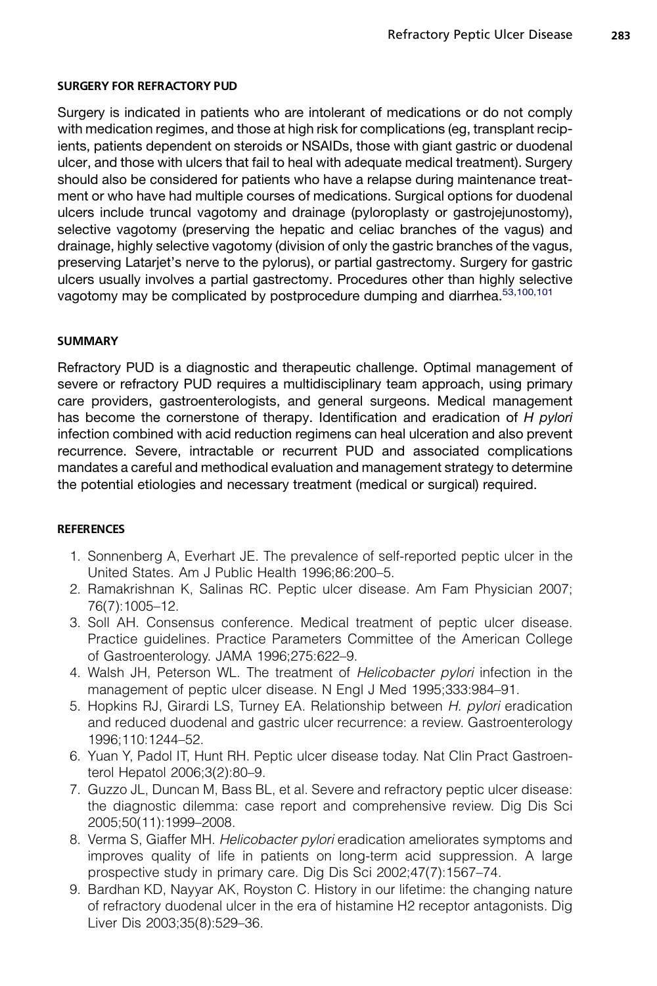## <span id="page-16-0"></span>SURGERY FOR REFRACTORY PUD

Surgery is indicated in patients who are intolerant of medications or do not comply with medication regimes, and those at high risk for complications (eg, transplant recipients, patients dependent on steroids or NSAIDs, those with giant gastric or duodenal ulcer, and those with ulcers that fail to heal with adequate medical treatment). Surgery should also be considered for patients who have a relapse during maintenance treatment or who have had multiple courses of medications. Surgical options for duodenal ulcers include truncal vagotomy and drainage (pyloroplasty or gastrojejunostomy), selective vagotomy (preserving the hepatic and celiac branches of the vagus) and drainage, highly selective vagotomy (division of only the gastric branches of the vagus, preserving Latarjet's nerve to the pylorus), or partial gastrectomy. Surgery for gastric ulcers usually involves a partial gastrectomy. Procedures other than highly selective vagotomy may be complicated by postprocedure dumping and diarrhea.[53,100,101](#page-19-0)

#### SUMMARY

Refractory PUD is a diagnostic and therapeutic challenge. Optimal management of severe or refractory PUD requires a multidisciplinary team approach, using primary care providers, gastroenterologists, and general surgeons. Medical management has become the cornerstone of therapy. Identification and eradication of *H pylori* infection combined with acid reduction regimens can heal ulceration and also prevent recurrence. Severe, intractable or recurrent PUD and associated complications mandates a careful and methodical evaluation and management strategy to determine the potential etiologies and necessary treatment (medical or surgical) required.

#### **REFERENCES**

- 1. Sonnenberg A, Everhart JE. The prevalence of self-reported peptic ulcer in the United States. Am J Public Health 1996;86:200–5.
- 2. Ramakrishnan K, Salinas RC. Peptic ulcer disease. Am Fam Physician 2007; 76(7):1005–12.
- 3. Soll AH. Consensus conference. Medical treatment of peptic ulcer disease. Practice guidelines. Practice Parameters Committee of the American College of Gastroenterology. JAMA 1996;275:622–9.
- 4. Walsh JH, Peterson WL. The treatment of Helicobacter pylori infection in the management of peptic ulcer disease. N Engl J Med 1995;333:984–91.
- 5. Hopkins RJ, Girardi LS, Turney EA. Relationship between H. pylori eradication and reduced duodenal and gastric ulcer recurrence: a review. Gastroenterology 1996;110:1244–52.
- 6. Yuan Y, Padol IT, Hunt RH. Peptic ulcer disease today. Nat Clin Pract Gastroenterol Hepatol 2006;3(2):80–9.
- 7. Guzzo JL, Duncan M, Bass BL, et al. Severe and refractory peptic ulcer disease: the diagnostic dilemma: case report and comprehensive review. Dig Dis Sci 2005;50(11):1999–2008.
- 8. Verma S, Giaffer MH. Helicobacter pylori eradication ameliorates symptoms and improves quality of life in patients on long-term acid suppression. A large prospective study in primary care. Dig Dis Sci 2002;47(7):1567–74.
- 9. Bardhan KD, Nayyar AK, Royston C. History in our lifetime: the changing nature of refractory duodenal ulcer in the era of histamine H2 receptor antagonists. Dig Liver Dis 2003;35(8):529–36.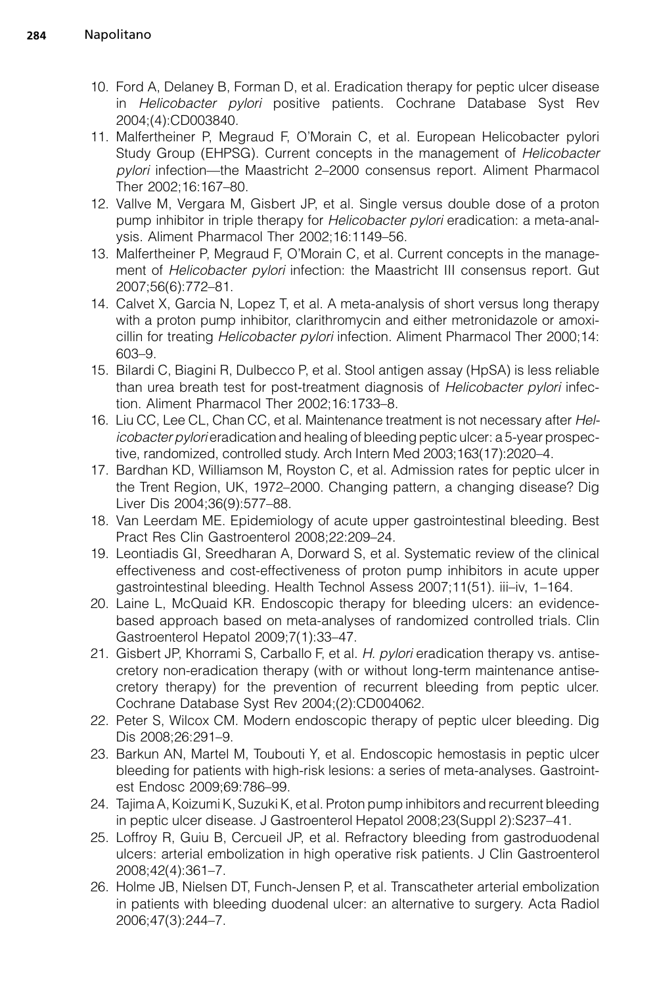- <span id="page-17-0"></span>10. Ford A, Delaney B, Forman D, et al. Eradication therapy for peptic ulcer disease in Helicobacter pylori positive patients. Cochrane Database Syst Rev 2004;(4):CD003840.
- 11. Malfertheiner P, Megraud F, O'Morain C, et al. European Helicobacter pylori Study Group (EHPSG). Current concepts in the management of Helicobacter pylori infection—the Maastricht 2–2000 consensus report. Aliment Pharmacol Ther 2002;16:167–80.
- 12. Vallve M, Vergara M, Gisbert JP, et al. Single versus double dose of a proton pump inhibitor in triple therapy for Helicobacter pylori eradication: a meta-analysis. Aliment Pharmacol Ther 2002;16:1149–56.
- 13. Malfertheiner P, Megraud F, O'Morain C, et al. Current concepts in the management of Helicobacter pylori infection: the Maastricht III consensus report. Gut 2007;56(6):772–81.
- 14. Calvet X, Garcia N, Lopez T, et al. A meta-analysis of short versus long therapy with a proton pump inhibitor, clarithromycin and either metronidazole or amoxicillin for treating *Helicobacter pylori* infection. Aliment Pharmacol Ther 2000;14: 603–9.
- 15. Bilardi C, Biagini R, Dulbecco P, et al. Stool antigen assay (HpSA) is less reliable than urea breath test for post-treatment diagnosis of Helicobacter pylori infection. Aliment Pharmacol Ther 2002;16:1733–8.
- 16. Liu CC, Lee CL, Chan CC, et al. Maintenance treatment is not necessary after Helicobacter pylori eradication and healing of bleeding peptic ulcer: a 5-year prospective, randomized, controlled study. Arch Intern Med 2003;163(17):2020–4.
- 17. Bardhan KD, Williamson M, Royston C, et al. Admission rates for peptic ulcer in the Trent Region, UK, 1972–2000. Changing pattern, a changing disease? Dig Liver Dis 2004;36(9):577–88.
- 18. Van Leerdam ME. Epidemiology of acute upper gastrointestinal bleeding. Best Pract Res Clin Gastroenterol 2008;22:209–24.
- 19. Leontiadis GI, Sreedharan A, Dorward S, et al. Systematic review of the clinical effectiveness and cost-effectiveness of proton pump inhibitors in acute upper gastrointestinal bleeding. Health Technol Assess 2007;11(51). iii–iv, 1–164.
- 20. Laine L, McQuaid KR. Endoscopic therapy for bleeding ulcers: an evidencebased approach based on meta-analyses of randomized controlled trials. Clin Gastroenterol Hepatol 2009;7(1):33–47.
- 21. Gisbert JP, Khorrami S, Carballo F, et al. H. pylori eradication therapy vs. antisecretory non-eradication therapy (with or without long-term maintenance antisecretory therapy) for the prevention of recurrent bleeding from peptic ulcer. Cochrane Database Syst Rev 2004;(2):CD004062.
- 22. Peter S, Wilcox CM. Modern endoscopic therapy of peptic ulcer bleeding. Dig Dis 2008;26:291–9.
- 23. Barkun AN, Martel M, Toubouti Y, et al. Endoscopic hemostasis in peptic ulcer bleeding for patients with high-risk lesions: a series of meta-analyses. Gastrointest Endosc 2009;69:786–99.
- 24. Tajima A, Koizumi K, Suzuki K, et al. Proton pump inhibitors and recurrent bleeding in peptic ulcer disease. J Gastroenterol Hepatol 2008;23(Suppl 2):S237–41.
- 25. Loffroy R, Guiu B, Cercueil JP, et al. Refractory bleeding from gastroduodenal ulcers: arterial embolization in high operative risk patients. J Clin Gastroenterol 2008;42(4):361–7.
- 26. Holme JB, Nielsen DT, Funch-Jensen P, et al. Transcatheter arterial embolization in patients with bleeding duodenal ulcer: an alternative to surgery. Acta Radiol 2006;47(3):244–7.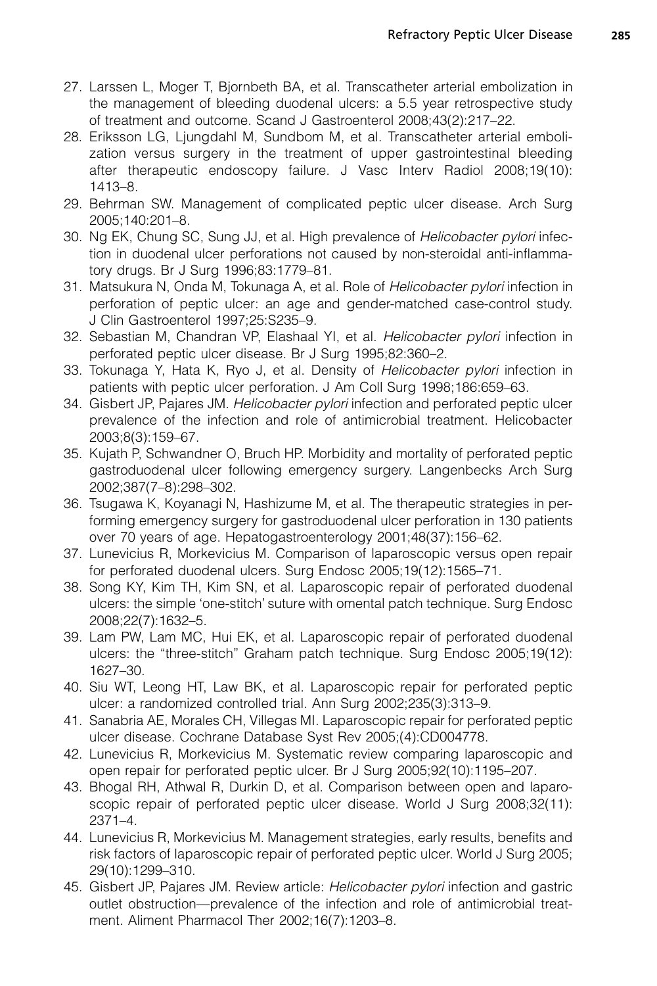- <span id="page-18-0"></span>27. Larssen L, Moger T, Bjornbeth BA, et al. Transcatheter arterial embolization in the management of bleeding duodenal ulcers: a 5.5 year retrospective study of treatment and outcome. Scand J Gastroenterol 2008;43(2):217–22.
- 28. Eriksson LG, Ljungdahl M, Sundbom M, et al. Transcatheter arterial embolization versus surgery in the treatment of upper gastrointestinal bleeding after therapeutic endoscopy failure. J Vasc Interv Radiol 2008;19(10): 1413–8.
- 29. Behrman SW. Management of complicated peptic ulcer disease. Arch Surg 2005;140:201–8.
- 30. Ng EK, Chung SC, Sung JJ, et al. High prevalence of Helicobacter pylori infection in duodenal ulcer perforations not caused by non-steroidal anti-inflammatory drugs. Br J Surg 1996;83:1779–81.
- 31. Matsukura N, Onda M, Tokunaga A, et al. Role of Helicobacter pylori infection in perforation of peptic ulcer: an age and gender-matched case-control study. J Clin Gastroenterol 1997;25:S235–9.
- 32. Sebastian M, Chandran VP, Elashaal YI, et al. Helicobacter pylori infection in perforated peptic ulcer disease. Br J Surg 1995;82:360–2.
- 33. Tokunaga Y, Hata K, Ryo J, et al. Density of Helicobacter pylori infection in patients with peptic ulcer perforation. J Am Coll Surg 1998;186:659–63.
- 34. Gisbert JP, Pajares JM. Helicobacter pylori infection and perforated peptic ulcer prevalence of the infection and role of antimicrobial treatment. Helicobacter 2003;8(3):159–67.
- 35. Kujath P, Schwandner O, Bruch HP. Morbidity and mortality of perforated peptic gastroduodenal ulcer following emergency surgery. Langenbecks Arch Surg 2002;387(7–8):298–302.
- 36. Tsugawa K, Koyanagi N, Hashizume M, et al. The therapeutic strategies in performing emergency surgery for gastroduodenal ulcer perforation in 130 patients over 70 years of age. Hepatogastroenterology 2001;48(37):156–62.
- 37. Lunevicius R, Morkevicius M. Comparison of laparoscopic versus open repair for perforated duodenal ulcers. Surg Endosc 2005;19(12):1565–71.
- 38. Song KY, Kim TH, Kim SN, et al. Laparoscopic repair of perforated duodenal ulcers: the simple 'one-stitch' suture with omental patch technique. Surg Endosc 2008;22(7):1632–5.
- 39. Lam PW, Lam MC, Hui EK, et al. Laparoscopic repair of perforated duodenal ulcers: the ''three-stitch'' Graham patch technique. Surg Endosc 2005;19(12): 1627–30.
- 40. Siu WT, Leong HT, Law BK, et al. Laparoscopic repair for perforated peptic ulcer: a randomized controlled trial. Ann Surg 2002;235(3):313–9.
- 41. Sanabria AE, Morales CH, Villegas MI. Laparoscopic repair for perforated peptic ulcer disease. Cochrane Database Syst Rev 2005;(4):CD004778.
- 42. Lunevicius R, Morkevicius M. Systematic review comparing laparoscopic and open repair for perforated peptic ulcer. Br J Surg 2005;92(10):1195–207.
- 43. Bhogal RH, Athwal R, Durkin D, et al. Comparison between open and laparoscopic repair of perforated peptic ulcer disease. World J Surg 2008;32(11): 2371–4.
- 44. Lunevicius R, Morkevicius M. Management strategies, early results, benefits and risk factors of laparoscopic repair of perforated peptic ulcer. World J Surg 2005; 29(10):1299–310.
- 45. Gisbert JP, Pajares JM. Review article: Helicobacter pylori infection and gastric outlet obstruction—prevalence of the infection and role of antimicrobial treatment. Aliment Pharmacol Ther 2002;16(7):1203–8.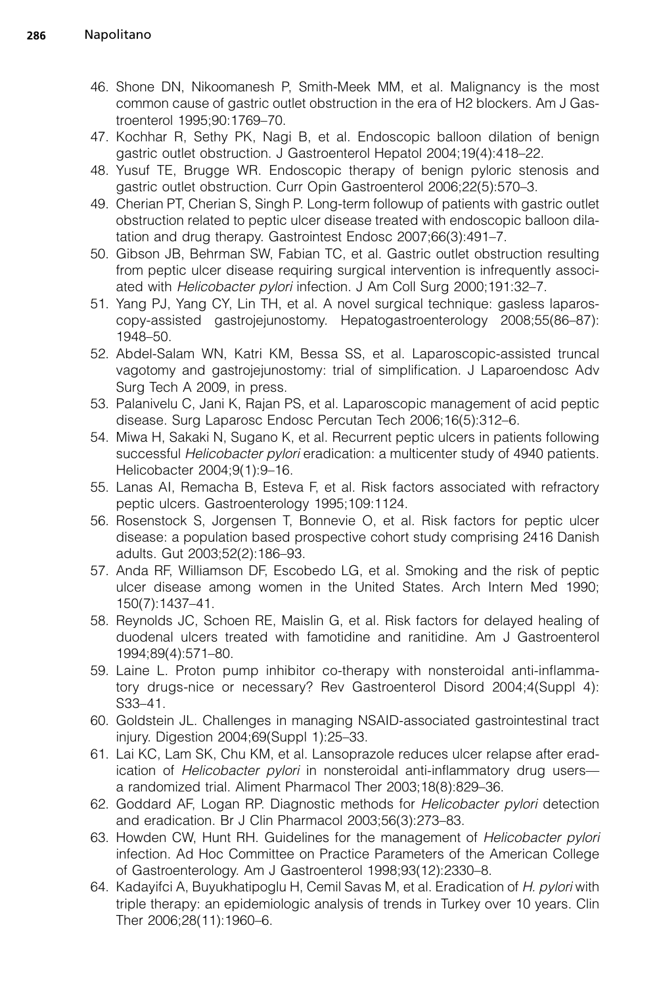- <span id="page-19-0"></span>46. Shone DN, Nikoomanesh P, Smith-Meek MM, et al. Malignancy is the most common cause of gastric outlet obstruction in the era of H2 blockers. Am J Gastroenterol 1995;90:1769–70.
- 47. Kochhar R, Sethy PK, Nagi B, et al. Endoscopic balloon dilation of benign gastric outlet obstruction. J Gastroenterol Hepatol 2004;19(4):418–22.
- 48. Yusuf TE, Brugge WR. Endoscopic therapy of benign pyloric stenosis and gastric outlet obstruction. Curr Opin Gastroenterol 2006;22(5):570–3.
- 49. Cherian PT, Cherian S, Singh P. Long-term followup of patients with gastric outlet obstruction related to peptic ulcer disease treated with endoscopic balloon dilatation and drug therapy. Gastrointest Endosc 2007;66(3):491–7.
- 50. Gibson JB, Behrman SW, Fabian TC, et al. Gastric outlet obstruction resulting from peptic ulcer disease requiring surgical intervention is infrequently associated with Helicobacter pylori infection. J Am Coll Surg 2000;191:32-7.
- 51. Yang PJ, Yang CY, Lin TH, et al. A novel surgical technique: gasless laparoscopy-assisted gastrojejunostomy. Hepatogastroenterology 2008;55(86–87): 1948–50.
- 52. Abdel-Salam WN, Katri KM, Bessa SS, et al. Laparoscopic-assisted truncal vagotomy and gastrojejunostomy: trial of simplification. J Laparoendosc Adv Surg Tech A 2009, in press.
- 53. Palanivelu C, Jani K, Rajan PS, et al. Laparoscopic management of acid peptic disease. Surg Laparosc Endosc Percutan Tech 2006;16(5):312–6.
- 54. Miwa H, Sakaki N, Sugano K, et al. Recurrent peptic ulcers in patients following successful Helicobacter pylori eradication: a multicenter study of 4940 patients. Helicobacter 2004;9(1):9–16.
- 55. Lanas AI, Remacha B, Esteva F, et al. Risk factors associated with refractory peptic ulcers. Gastroenterology 1995;109:1124.
- 56. Rosenstock S, Jorgensen T, Bonnevie O, et al. Risk factors for peptic ulcer disease: a population based prospective cohort study comprising 2416 Danish adults. Gut 2003;52(2):186–93.
- 57. Anda RF, Williamson DF, Escobedo LG, et al. Smoking and the risk of peptic ulcer disease among women in the United States. Arch Intern Med 1990; 150(7):1437–41.
- 58. Reynolds JC, Schoen RE, Maislin G, et al. Risk factors for delayed healing of duodenal ulcers treated with famotidine and ranitidine. Am J Gastroenterol 1994;89(4):571–80.
- 59. Laine L. Proton pump inhibitor co-therapy with nonsteroidal anti-inflammatory drugs-nice or necessary? Rev Gastroenterol Disord 2004;4(Suppl 4): S33–41.
- 60. Goldstein JL. Challenges in managing NSAID-associated gastrointestinal tract injury. Digestion 2004;69(Suppl 1):25–33.
- 61. Lai KC, Lam SK, Chu KM, et al. Lansoprazole reduces ulcer relapse after eradication of Helicobacter pylori in nonsteroidal anti-inflammatory drug usersa randomized trial. Aliment Pharmacol Ther 2003;18(8):829–36.
- 62. Goddard AF, Logan RP. Diagnostic methods for Helicobacter pylori detection and eradication. Br J Clin Pharmacol 2003;56(3):273–83.
- 63. Howden CW, Hunt RH. Guidelines for the management of Helicobacter pylori infection. Ad Hoc Committee on Practice Parameters of the American College of Gastroenterology. Am J Gastroenterol 1998;93(12):2330–8.
- 64. Kadayifci A, Buyukhatipoglu H, Cemil Savas M, et al. Eradication of H. pylori with triple therapy: an epidemiologic analysis of trends in Turkey over 10 years. Clin Ther 2006;28(11):1960–6.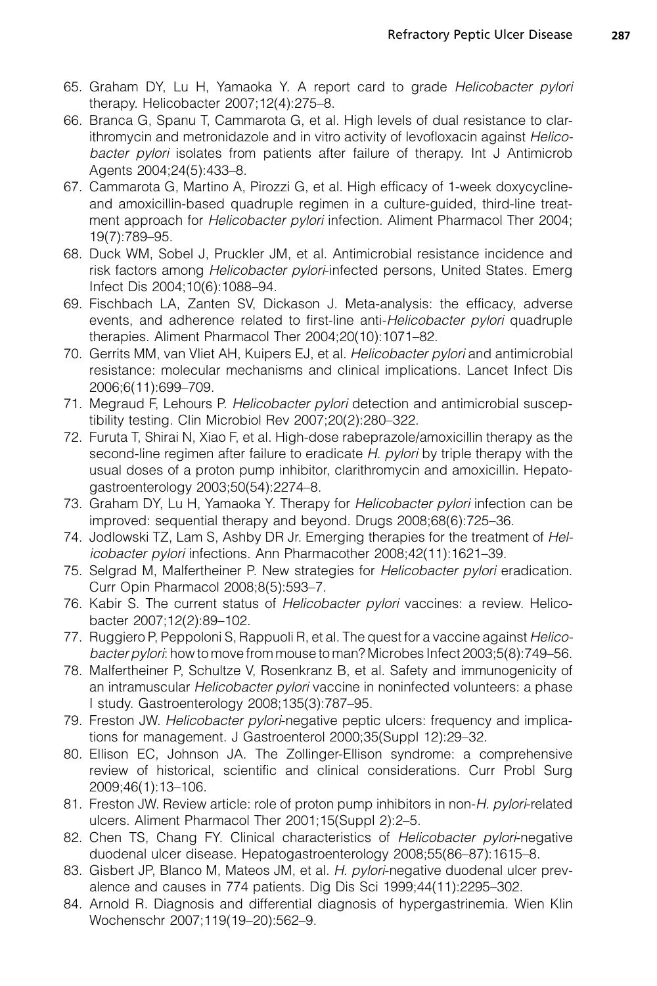- <span id="page-20-0"></span>65. Graham DY, Lu H, Yamaoka Y. A report card to grade Helicobacter pylori therapy. Helicobacter 2007;12(4):275–8.
- 66. Branca G, Spanu T, Cammarota G, et al. High levels of dual resistance to clarithromycin and metronidazole and in vitro activity of levofloxacin against Helicobacter pylori isolates from patients after failure of therapy. Int J Antimicrob Agents 2004;24(5):433–8.
- 67. Cammarota G, Martino A, Pirozzi G, et al. High efficacy of 1-week doxycyclineand amoxicillin-based quadruple regimen in a culture-guided, third-line treatment approach for *Helicobacter pylori* infection. Aliment Pharmacol Ther 2004; 19(7):789–95.
- 68. Duck WM, Sobel J, Pruckler JM, et al. Antimicrobial resistance incidence and risk factors among Helicobacter pylori-infected persons, United States. Emerg Infect Dis 2004;10(6):1088–94.
- 69. Fischbach LA, Zanten SV, Dickason J. Meta-analysis: the efficacy, adverse events, and adherence related to first-line anti-Helicobacter pylori quadruple therapies. Aliment Pharmacol Ther 2004;20(10):1071–82.
- 70. Gerrits MM, van Vliet AH, Kuipers EJ, et al. Helicobacter pylori and antimicrobial resistance: molecular mechanisms and clinical implications. Lancet Infect Dis 2006;6(11):699–709.
- 71. Megraud F, Lehours P. Helicobacter pylori detection and antimicrobial susceptibility testing. Clin Microbiol Rev 2007;20(2):280–322.
- 72. Furuta T, Shirai N, Xiao F, et al. High-dose rabeprazole/amoxicillin therapy as the second-line regimen after failure to eradicate H. pylori by triple therapy with the usual doses of a proton pump inhibitor, clarithromycin and amoxicillin. Hepatogastroenterology 2003;50(54):2274–8.
- 73. Graham DY, Lu H, Yamaoka Y. Therapy for Helicobacter pylori infection can be improved: sequential therapy and beyond. Drugs 2008;68(6):725–36.
- 74. Jodlowski TZ, Lam S, Ashby DR Jr. Emerging therapies for the treatment of Helicobacter pylori infections. Ann Pharmacother 2008;42(11):1621–39.
- 75. Selgrad M, Malfertheiner P. New strategies for Helicobacter pylori eradication. Curr Opin Pharmacol 2008;8(5):593–7.
- 76. Kabir S. The current status of Helicobacter pylori vaccines: a review. Helicobacter 2007;12(2):89–102.
- 77. Ruggiero P, Peppoloni S, Rappuoli R, et al. The quest for a vaccine against Helicobacter pylori: how to move from mouse to man? Microbes Infect 2003;5(8):749–56.
- 78. Malfertheiner P, Schultze V, Rosenkranz B, et al. Safety and immunogenicity of an intramuscular Helicobacter pylori vaccine in noninfected volunteers: a phase I study. Gastroenterology 2008;135(3):787–95.
- 79. Freston JW. Helicobacter pylori-negative peptic ulcers: frequency and implications for management. J Gastroenterol 2000;35(Suppl 12):29–32.
- 80. Ellison EC, Johnson JA. The Zollinger-Ellison syndrome: a comprehensive review of historical, scientific and clinical considerations. Curr Probl Surg 2009;46(1):13–106.
- 81. Freston JW. Review article: role of proton pump inhibitors in non-H. pylori-related ulcers. Aliment Pharmacol Ther 2001;15(Suppl 2):2–5.
- 82. Chen TS, Chang FY. Clinical characteristics of Helicobacter pylori-negative duodenal ulcer disease. Hepatogastroenterology 2008;55(86–87):1615–8.
- 83. Gisbert JP, Blanco M, Mateos JM, et al. H. pylori-negative duodenal ulcer prevalence and causes in 774 patients. Dig Dis Sci 1999;44(11):2295–302.
- 84. Arnold R. Diagnosis and differential diagnosis of hypergastrinemia. Wien Klin Wochenschr 2007;119(19–20):562–9.